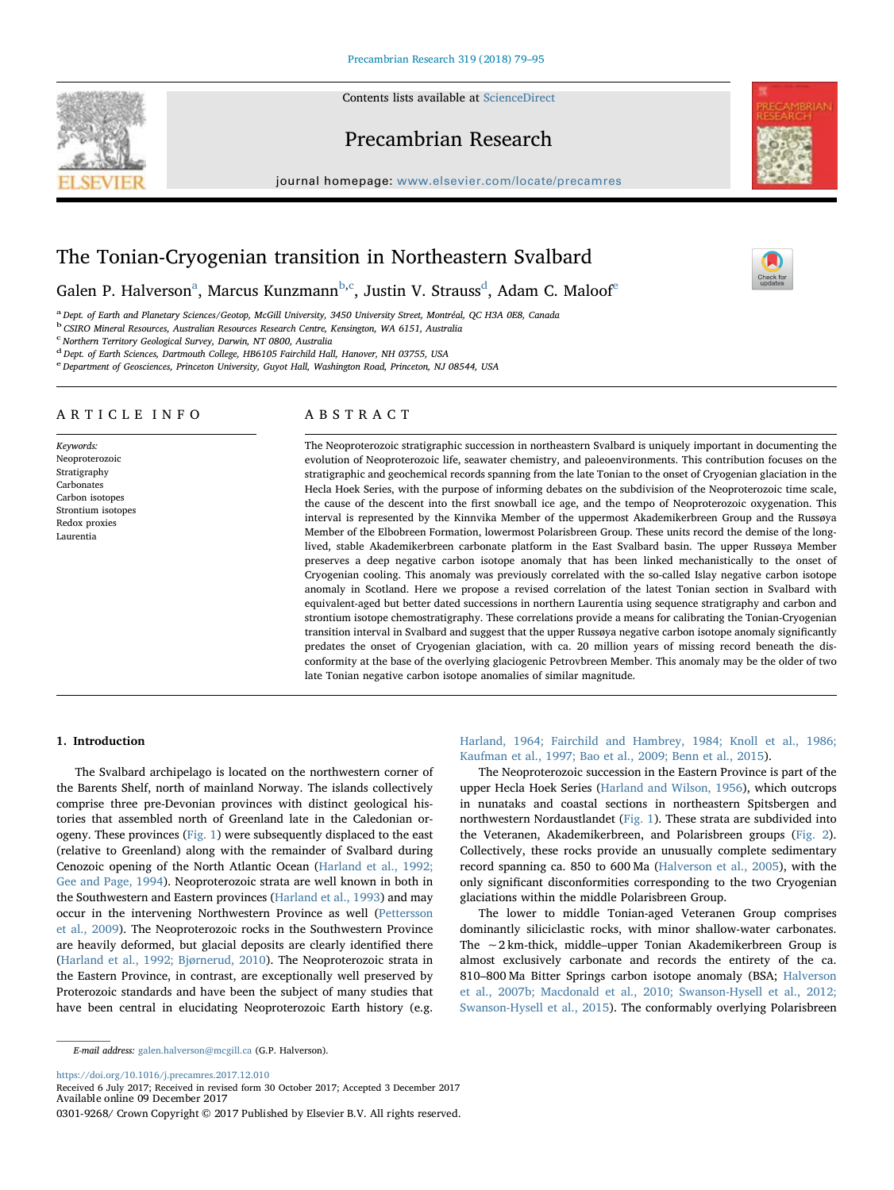Contents lists available at ScienceDirect





journal homepage: www.elsevier.com/locate/precamres



# The Tonian-Cryogenian transition in Northeastern Svalbard

G[a](#page-0-0)len P. Halverson<sup>a</sup>, Marcus Kunzmann<sup>[b](#page-0-1)[,c](#page-0-2)</sup>, Justin V. Strauss<sup>[d](#page-0-3)</sup>, Adam C. Maloof<sup>[e](#page-0-4)</sup>

<span id="page-0-0"></span>a Dept. of Earth and Planetary Sciences/Geotop, McGill University, 3450 University Street, Montréal, QC H3A 0E8, Canada

<span id="page-0-1"></span>b CSIRO Mineral Resources, Australian Resources Research Centre, Kensington, WA 6151, Australia<br>C Northern Territory Geological Survey, Darwin, NT 0800, Australia

<span id="page-0-2"></span>Northern Territory Geological Survey, Darwin, NT 0800, Australia

<span id="page-0-3"></span><sup>d</sup> Dept. of Earth Sciences, Dartmouth College, HB6105 Fairchild Hall, Hanover, NH 03755, USA

<span id="page-0-4"></span>e Department of Geosciences, Princeton University, Guyot Hall, Washington Road, Princeton, NJ 08544, USA

# ARTICLE INFO

Keywords: Neoproterozoic Stratigraphy Carbonates Carbon isotopes Strontium isotopes Redox proxies Laurentia

# ABSTRACT

The Neoproterozoic stratigraphic succession in northeastern Svalbard is uniquely important in documenting the evolution of Neoproterozoic life, seawater chemistry, and paleoenvironments. This contribution focuses on the stratigraphic and geochemical records spanning from the late Tonian to the onset of Cryogenian glaciation in the Hecla Hoek Series, with the purpose of informing debates on the subdivision of the Neoproterozoic time scale, the cause of the descent into the first snowball ice age, and the tempo of Neoproterozoic oxygenation. This interval is represented by the Kinnvika Member of the uppermost Akademikerbreen Group and the Russøya Member of the Elbobreen Formation, lowermost Polarisbreen Group. These units record the demise of the longlived, stable Akademikerbreen carbonate platform in the East Svalbard basin. The upper Russøya Member preserves a deep negative carbon isotope anomaly that has been linked mechanistically to the onset of Cryogenian cooling. This anomaly was previously correlated with the so-called Islay negative carbon isotope anomaly in Scotland. Here we propose a revised correlation of the latest Tonian section in Svalbard with equivalent-aged but better dated successions in northern Laurentia using sequence stratigraphy and carbon and strontium isotope chemostratigraphy. These correlations provide a means for calibrating the Tonian-Cryogenian transition interval in Svalbard and suggest that the upper Russøya negative carbon isotope anomaly significantly predates the onset of Cryogenian glaciation, with ca. 20 million years of missing record beneath the disconformity at the base of the overlying glaciogenic Petrovbreen Member. This anomaly may be the older of two late Tonian negative carbon isotope anomalies of similar magnitude.

## 1. Introduction

The Svalbard archipelago is located on the northwestern corner of the Barents Shelf, north of mainland Norway. The islands collectively comprise three pre-Devonian provinces with distinct geological histories that assembled north of Greenland late in the Caledonian orogeny. These provinces ([Fig. 1\)](#page-1-0) were subsequently displaced to the east (relative to Greenland) along with the remainder of Svalbard during Cenozoic opening of the North Atlantic Ocean ([Harland et al., 1992;](#page-15-0) [Gee and Page, 1994\)](#page-15-0). Neoproterozoic strata are well known in both in the Southwestern and Eastern provinces [\(Harland et al., 1993](#page-15-1)) and may occur in the intervening Northwestern Province as well ([Pettersson](#page-15-2) [et al., 2009](#page-15-2)). The Neoproterozoic rocks in the Southwestern Province are heavily deformed, but glacial deposits are clearly identified there ([Harland et al., 1992; Bjørnerud, 2010](#page-15-0)). The Neoproterozoic strata in the Eastern Province, in contrast, are exceptionally well preserved by Proterozoic standards and have been the subject of many studies that have been central in elucidating Neoproterozoic Earth history (e.g.

E-mail address: galen.halverson@mcgill.ca (G.P. Halverson).

https://doi.org/10.1016/j.precamres.2017.12.010

[Harland, 1964; Fairchild and Hambrey, 1984; Knoll et al., 1986;](#page-15-3) [Kaufman et al., 1997; Bao et al., 2009; Benn et al., 2015](#page-15-3)).

The Neoproterozoic succession in the Eastern Province is part of the upper Hecla Hoek Series [\(Harland and Wilson, 1956\)](#page-15-4), which outcrops in nunataks and coastal sections in northeastern Spitsbergen and northwestern Nordaustlandet ([Fig. 1\)](#page-1-0). These strata are subdivided into the Veteranen, Akademikerbreen, and Polarisbreen groups [\(Fig. 2](#page-2-0)). Collectively, these rocks provide an unusually complete sedimentary record spanning ca. 850 to 600 Ma [\(Halverson et al., 2005](#page-15-5)), with the only significant disconformities corresponding to the two Cryogenian glaciations within the middle Polarisbreen Group.

The lower to middle Tonian-aged Veteranen Group comprises dominantly siliciclastic rocks, with minor shallow-water carbonates. The ∼2 km-thick, middle–upper Tonian Akademikerbreen Group is almost exclusively carbonate and records the entirety of the ca. 810–800 Ma Bitter Springs carbon isotope anomaly (BSA; [Halverson](#page-15-6) [et al., 2007b; Macdonald et al., 2010; Swanson-Hysell et al., 2012;](#page-15-6) [Swanson-Hysell et al., 2015](#page-15-6)). The conformably overlying Polarisbreen



Received 6 July 2017; Received in revised form 30 October 2017; Accepted 3 December 2017 Available online 09 December 2017

<sup>0301-9268/</sup> Crown Copyright © 2017 Published by Elsevier B.V. All rights reserved.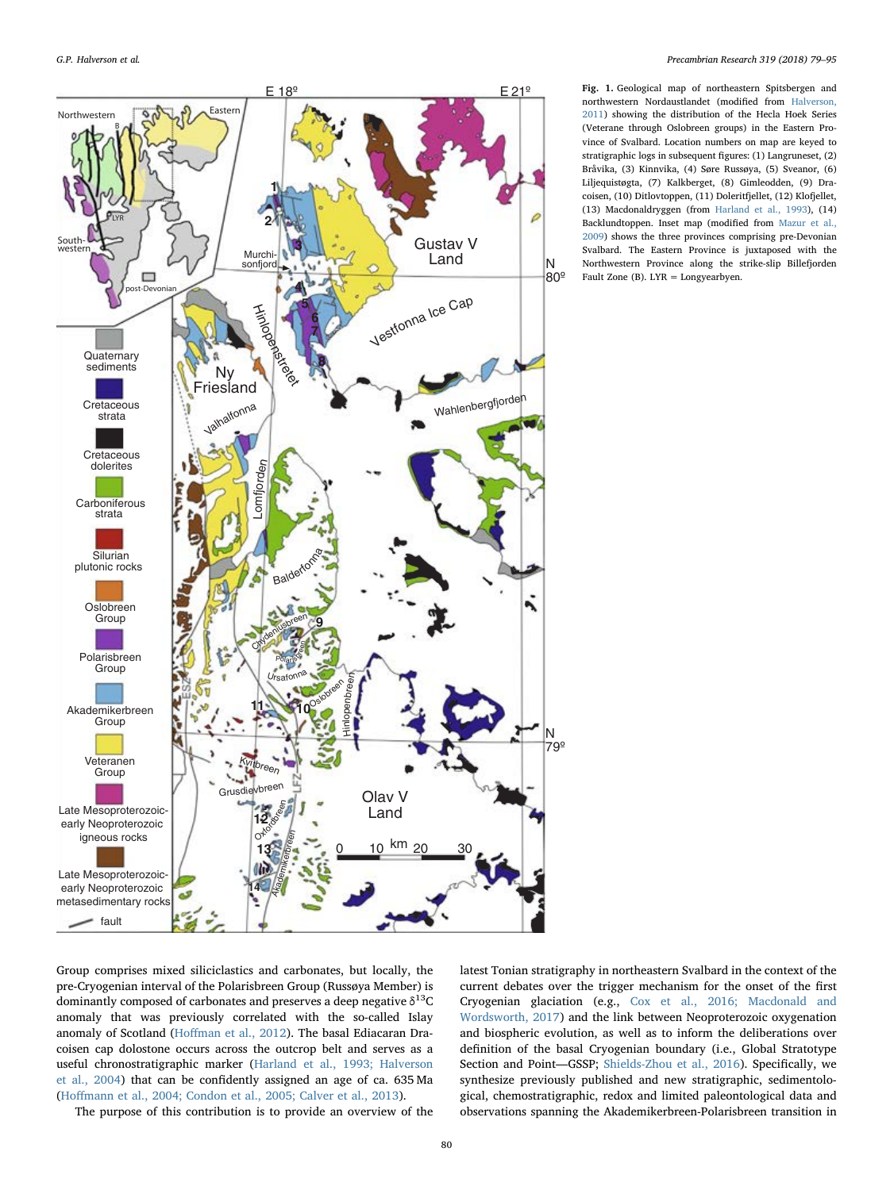<span id="page-1-0"></span>

Fig. 1. Geological map of northeastern Spitsbergen and northwestern Nordaustlandet (modified from [Halverson,](#page-15-9) [2011\)](#page-15-9) showing the distribution of the Hecla Hoek Series (Veterane through Oslobreen groups) in the Eastern Province of Svalbard. Location numbers on map are keyed to stratigraphic logs in subsequent figures: (1) Langruneset, (2) Bråvika, (3) Kinnvika, (4) Søre Russøya, (5) Sveanor, (6) Liljequistøgta, (7) Kalkberget, (8) Gimleodden, (9) Dracoisen, (10) Ditlovtoppen, (11) Doleritfjellet, (12) Klofjellet, (13) Macdonaldryggen (from [Harland et al., 1993](#page-15-1)), (14) Backlundtoppen. Inset map (modified from [Mazur et al.,](#page-15-10) [2009\)](#page-15-10) shows the three provinces comprising pre-Devonian Svalbard. The Eastern Province is juxtaposed with the Northwestern Province along the strike-slip Billefjorden Fault Zone (B). LYR = Longyearbyen.

Group comprises mixed siliciclastics and carbonates, but locally, the pre-Cryogenian interval of the Polarisbreen Group (Russøya Member) is dominantly composed of carbonates and preserves a deep negative  $\delta^{13}C$ anomaly that was previously correlated with the so-called Islay anomaly of Scotland (Hoff[man et al., 2012\)](#page-15-7). The basal Ediacaran Dracoisen cap dolostone occurs across the outcrop belt and serves as a useful chronostratigraphic marker [\(Harland et al., 1993; Halverson](#page-15-1) [et al., 2004](#page-15-1)) that can be confidently assigned an age of ca. 635 Ma (Hoff[mann et al., 2004; Condon et al., 2005; Calver et al., 2013\)](#page-15-8).

latest Tonian stratigraphy in northeastern Svalbard in the context of the current debates over the trigger mechanism for the onset of the first Cryogenian glaciation (e.g., [Cox et al., 2016; Macdonald and](#page-14-0) [Wordsworth, 2017](#page-14-0)) and the link between Neoproterozoic oxygenation and biospheric evolution, as well as to inform the deliberations over definition of the basal Cryogenian boundary (i.e., Global Stratotype Section and Point—GSSP; [Shields-Zhou et al., 2016](#page-16-0)). Specifically, we synthesize previously published and new stratigraphic, sedimentological, chemostratigraphic, redox and limited paleontological data and observations spanning the Akademikerbreen-Polarisbreen transition in

The purpose of this contribution is to provide an overview of the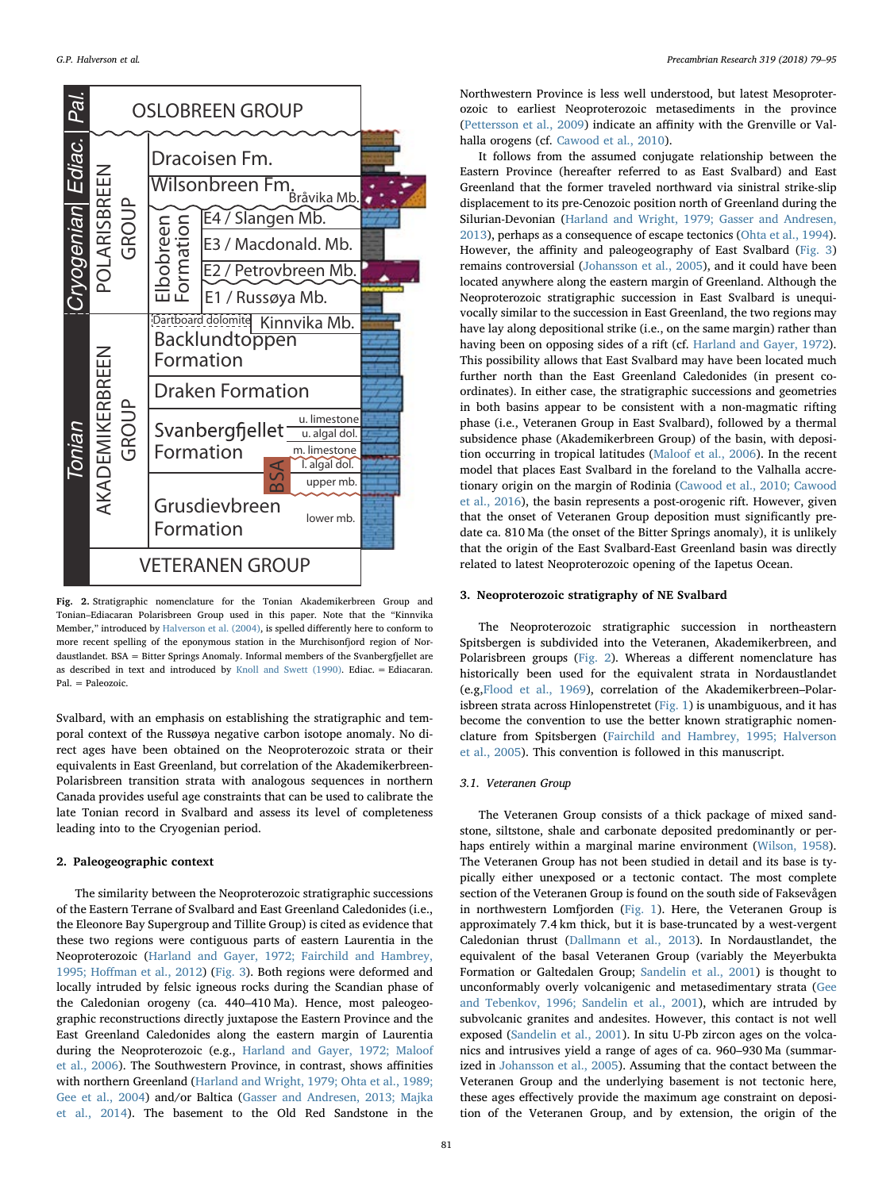<span id="page-2-0"></span>

Fig. 2. Stratigraphic nomenclature for the Tonian Akademikerbreen Group and Tonian–Ediacaran Polarisbreen Group used in this paper. Note that the "Kinnvika Member," introduced by [Halverson et al. \(2004\),](#page-15-16) is spelled differently here to conform to more recent spelling of the eponymous station in the Murchisonfjord region of Nordaustlandet. BSA = Bitter Springs Anomaly. Informal members of the Svanbergfjellet are as described in text and introduced by [Knoll and Swett \(1990\).](#page-15-17) Ediac. = Ediacaran. Pal. = Paleozoic.

Svalbard, with an emphasis on establishing the stratigraphic and temporal context of the Russøya negative carbon isotope anomaly. No direct ages have been obtained on the Neoproterozoic strata or their equivalents in East Greenland, but correlation of the Akademikerbreen-Polarisbreen transition strata with analogous sequences in northern Canada provides useful age constraints that can be used to calibrate the late Tonian record in Svalbard and assess its level of completeness leading into to the Cryogenian period.

# 2. Paleogeographic context

The similarity between the Neoproterozoic stratigraphic successions of the Eastern Terrane of Svalbard and East Greenland Caledonides (i.e., the Eleonore Bay Supergroup and Tillite Group) is cited as evidence that these two regions were contiguous parts of eastern Laurentia in the Neoproterozoic ([Harland and Gayer, 1972; Fairchild and Hambrey,](#page-15-11) 1995; Hoff[man et al., 2012\)](#page-15-11) ([Fig. 3\)](#page-3-0). Both regions were deformed and locally intruded by felsic igneous rocks during the Scandian phase of the Caledonian orogeny (ca. 440–410 Ma). Hence, most paleogeographic reconstructions directly juxtapose the Eastern Province and the East Greenland Caledonides along the eastern margin of Laurentia during the Neoproterozoic (e.g., [Harland and Gayer, 1972; Maloof](#page-15-11) [et al., 2006\)](#page-15-11). The Southwestern Province, in contrast, shows affinities with northern Greenland [\(Harland and Wright, 1979; Ohta et al., 1989;](#page-15-12) [Gee et al., 2004\)](#page-15-12) and/or Baltica ([Gasser and Andresen, 2013; Majka](#page-14-1) [et al., 2014\)](#page-14-1). The basement to the Old Red Sandstone in the Northwestern Province is less well understood, but latest Mesoproterozoic to earliest Neoproterozoic metasediments in the province ([Pettersson et al., 2009](#page-15-2)) indicate an affinity with the Grenville or Valhalla orogens (cf. [Cawood et al., 2010\)](#page-14-2).

It follows from the assumed conjugate relationship between the Eastern Province (hereafter referred to as East Svalbard) and East Greenland that the former traveled northward via sinistral strike-slip displacement to its pre-Cenozoic position north of Greenland during the Silurian-Devonian ([Harland and Wright, 1979; Gasser and Andresen,](#page-15-12) [2013\)](#page-15-12), perhaps as a consequence of escape tectonics ([Ohta et al., 1994](#page-15-13)). However, the affinity and paleogeography of East Svalbard [\(Fig. 3\)](#page-3-0) remains controversial ([Johansson et al., 2005](#page-15-14)), and it could have been located anywhere along the eastern margin of Greenland. Although the Neoproterozoic stratigraphic succession in East Svalbard is unequivocally similar to the succession in East Greenland, the two regions may have lay along depositional strike (i.e., on the same margin) rather than having been on opposing sides of a rift (cf. [Harland and Gayer, 1972](#page-15-11)). This possibility allows that East Svalbard may have been located much further north than the East Greenland Caledonides (in present coordinates). In either case, the stratigraphic successions and geometries in both basins appear to be consistent with a non-magmatic rifting phase (i.e., Veteranen Group in East Svalbard), followed by a thermal subsidence phase (Akademikerbreen Group) of the basin, with deposition occurring in tropical latitudes ([Maloof et al., 2006\)](#page-15-15). In the recent model that places East Svalbard in the foreland to the Valhalla accretionary origin on the margin of Rodinia ([Cawood et al., 2010; Cawood](#page-14-2) [et al., 2016](#page-14-2)), the basin represents a post-orogenic rift. However, given that the onset of Veteranen Group deposition must significantly predate ca. 810 Ma (the onset of the Bitter Springs anomaly), it is unlikely that the origin of the East Svalbard-East Greenland basin was directly related to latest Neoproterozoic opening of the Iapetus Ocean.

## 3. Neoproterozoic stratigraphy of NE Svalbard

The Neoproterozoic stratigraphic succession in northeastern Spitsbergen is subdivided into the Veteranen, Akademikerbreen, and Polarisbreen groups ([Fig. 2](#page-2-0)). Whereas a different nomenclature has historically been used for the equivalent strata in Nordaustlandet (e.g[,Flood et al., 1969\)](#page-14-3), correlation of the Akademikerbreen–Polarisbreen strata across Hinlopenstretet [\(Fig. 1](#page-1-0)) is unambiguous, and it has become the convention to use the better known stratigraphic nomenclature from Spitsbergen ([Fairchild and Hambrey, 1995; Halverson](#page-14-4) [et al., 2005](#page-14-4)). This convention is followed in this manuscript.

# 3.1. Veteranen Group

The Veteranen Group consists of a thick package of mixed sandstone, siltstone, shale and carbonate deposited predominantly or perhaps entirely within a marginal marine environment ([Wilson, 1958](#page-16-1)). The Veteranen Group has not been studied in detail and its base is typically either unexposed or a tectonic contact. The most complete section of the Veteranen Group is found on the south side of Faksevågen in northwestern Lomfjorden [\(Fig. 1](#page-1-0)). Here, the Veteranen Group is approximately 7.4 km thick, but it is base-truncated by a west-vergent Caledonian thrust ([Dallmann et al., 2013](#page-14-5)). In Nordaustlandet, the equivalent of the basal Veteranen Group (variably the Meyerbukta Formation or Galtedalen Group; [Sandelin et al., 2001\)](#page-16-2) is thought to unconformably overly volcanigenic and metasedimentary strata [\(Gee](#page-14-6) [and Tebenkov, 1996; Sandelin et al., 2001\)](#page-14-6), which are intruded by subvolcanic granites and andesites. However, this contact is not well exposed ([Sandelin et al., 2001\)](#page-16-2). In situ U-Pb zircon ages on the volcanics and intrusives yield a range of ages of ca. 960–930 Ma (summarized in [Johansson et al., 2005](#page-15-14)). Assuming that the contact between the Veteranen Group and the underlying basement is not tectonic here, these ages effectively provide the maximum age constraint on deposition of the Veteranen Group, and by extension, the origin of the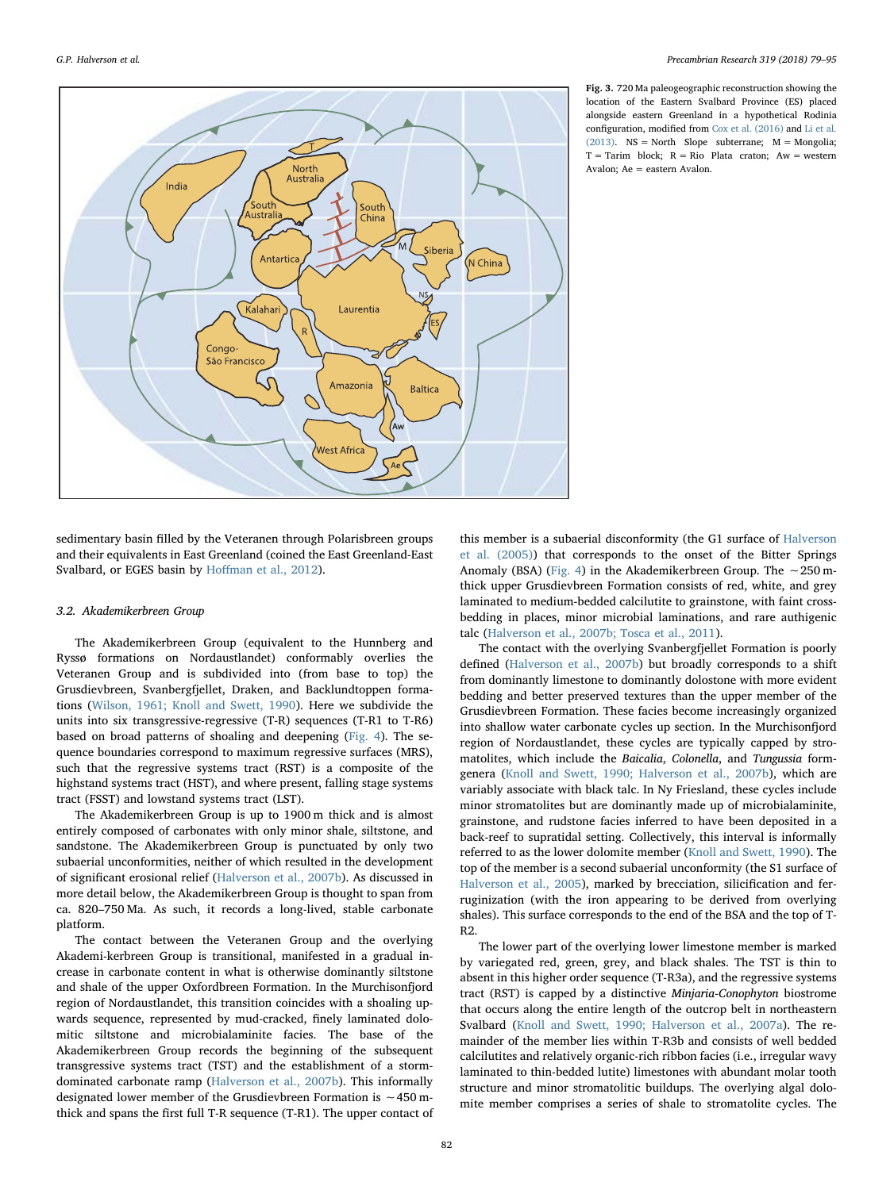<span id="page-3-0"></span>

Fig. 3. 720 Ma paleogeographic reconstruction showing the location of the Eastern Svalbard Province (ES) placed alongside eastern Greenland in a hypothetical Rodinia configuration, modified from [Cox et al. \(2016\)](#page-14-0) and [Li et al.](#page-15-18) [\(2013\).](#page-15-18) NS = North Slope subterrane; M = Mongolia;  $T = T$ arim block;  $R = Rio$  Plata craton;  $Aw = western$ Avalon; Ae = eastern Avalon.

sedimentary basin filled by the Veteranen through Polarisbreen groups and their equivalents in East Greenland (coined the East Greenland-East Svalbard, or EGES basin by Hoff[man et al., 2012\)](#page-15-7).

#### 3.2. Akademikerbreen Group

The Akademikerbreen Group (equivalent to the Hunnberg and Ryssø formations on Nordaustlandet) conformably overlies the Veteranen Group and is subdivided into (from base to top) the Grusdievbreen, Svanbergfjellet, Draken, and Backlundtoppen formations [\(Wilson, 1961; Knoll and Swett, 1990](#page-16-3)). Here we subdivide the units into six transgressive-regressive (T-R) sequences (T-R1 to T-R6) based on broad patterns of shoaling and deepening [\(Fig. 4\)](#page-4-0). The sequence boundaries correspond to maximum regressive surfaces (MRS), such that the regressive systems tract (RST) is a composite of the highstand systems tract (HST), and where present, falling stage systems tract (FSST) and lowstand systems tract (LST).

The Akademikerbreen Group is up to 1900 m thick and is almost entirely composed of carbonates with only minor shale, siltstone, and sandstone. The Akademikerbreen Group is punctuated by only two subaerial unconformities, neither of which resulted in the development of significant erosional relief ([Halverson et al., 2007b\)](#page-15-6). As discussed in more detail below, the Akademikerbreen Group is thought to span from ca. 820–750 Ma. As such, it records a long-lived, stable carbonate platform.

The contact between the Veteranen Group and the overlying Akademi-kerbreen Group is transitional, manifested in a gradual increase in carbonate content in what is otherwise dominantly siltstone and shale of the upper Oxfordbreen Formation. In the Murchisonfjord region of Nordaustlandet, this transition coincides with a shoaling upwards sequence, represented by mud-cracked, finely laminated dolomitic siltstone and microbialaminite facies. The base of the Akademikerbreen Group records the beginning of the subsequent transgressive systems tract (TST) and the establishment of a stormdominated carbonate ramp ([Halverson et al., 2007b\)](#page-15-6). This informally designated lower member of the Grusdievbreen Formation is ∼450 mthick and spans the first full T-R sequence (T-R1). The upper contact of

this member is a subaerial disconformity (the G1 surface of [Halverson](#page-15-5) [et al. \(2005\)](#page-15-5)) that corresponds to the onset of the Bitter Springs Anomaly (BSA) [\(Fig. 4\)](#page-4-0) in the Akademikerbreen Group. The ∼250 mthick upper Grusdievbreen Formation consists of red, white, and grey laminated to medium-bedded calcilutite to grainstone, with faint crossbedding in places, minor microbial laminations, and rare authigenic talc [\(Halverson et al., 2007b; Tosca et al., 2011\)](#page-15-6).

The contact with the overlying Svanbergfjellet Formation is poorly defined [\(Halverson et al., 2007b\)](#page-15-6) but broadly corresponds to a shift from dominantly limestone to dominantly dolostone with more evident bedding and better preserved textures than the upper member of the Grusdievbreen Formation. These facies become increasingly organized into shallow water carbonate cycles up section. In the Murchisonfjord region of Nordaustlandet, these cycles are typically capped by stromatolites, which include the Baicalia, Colonella, and Tungussia formgenera [\(Knoll and Swett, 1990; Halverson et al., 2007b](#page-15-17)), which are variably associate with black talc. In Ny Friesland, these cycles include minor stromatolites but are dominantly made up of microbialaminite, grainstone, and rudstone facies inferred to have been deposited in a back-reef to supratidal setting. Collectively, this interval is informally referred to as the lower dolomite member ([Knoll and Swett, 1990](#page-15-17)). The top of the member is a second subaerial unconformity (the S1 surface of [Halverson et](#page-15-5) al., 2005), marked by brecciation, silicification and ferruginization (with the iron appearing to be derived from overlying shales). This surface corresponds to the end of the BSA and the top of T-R2.

The lower part of the overlying lower limestone member is marked by variegated red, green, grey, and black shales. The TST is thin to absent in this higher order sequence (T-R3a), and the regressive systems tract (RST) is capped by a distinctive Minjaria-Conophyton biostrome that occurs along the entire length of the outcrop belt in northeastern Svalbard [\(Knoll and Swett, 1990; Halverson et al., 2007a\)](#page-15-17). The remainder of the member lies within T-R3b and consists of well bedded calcilutites and relatively organic-rich ribbon facies (i.e., irregular wavy laminated to thin-bedded lutite) limestones with abundant molar tooth structure and minor stromatolitic buildups. The overlying algal dolomite member comprises a series of shale to stromatolite cycles. The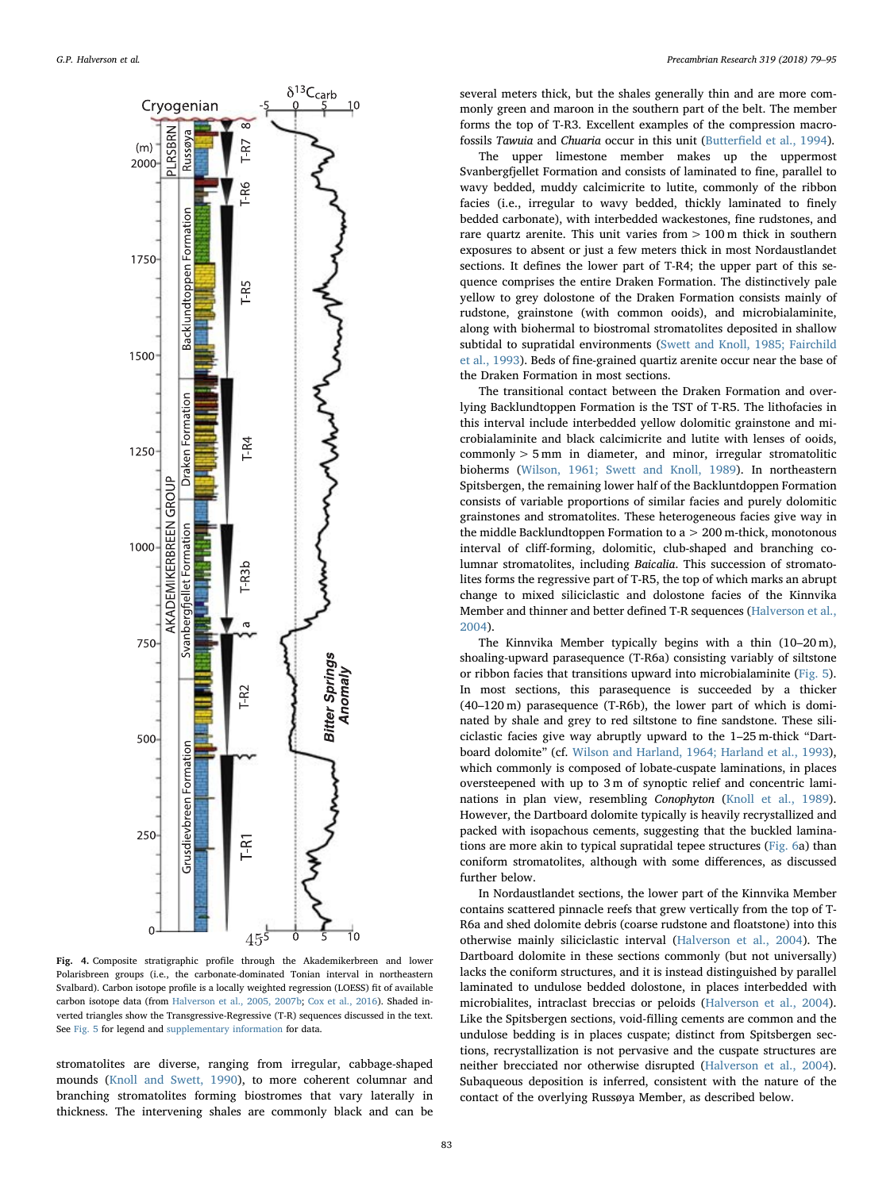<span id="page-4-0"></span>

Fig. 4. Composite stratigraphic profile through the Akademikerbreen and lower Polarisbreen groups (i.e., the carbonate-dominated Tonian interval in northeastern Svalbard). Carbon isotope profile is a locally weighted regression (LOESS) fit of available carbon isotope data (from [Halverson et al., 2005, 2007b](#page-15-5); [Cox et al., 2016\)](#page-14-0). Shaded inverted triangles show the Transgressive-Regressive (T-R) sequences discussed in the text. See [Fig. 5](#page-5-0) for legend and supplementary information for data.

stromatolites are diverse, ranging from irregular, cabbage-shaped mounds ([Knoll and Swett, 1990](#page-15-17)), to more coherent columnar and branching stromatolites forming biostromes that vary laterally in thickness. The intervening shales are commonly black and can be several meters thick, but the shales generally thin and are more commonly green and maroon in the southern part of the belt. The member forms the top of T-R3. Excellent examples of the compression macrofossils Tawuia and Chuaria occur in this unit (Butterfi[eld et al., 1994](#page-14-7)).

The upper limestone member makes up the uppermost Svanbergfjellet Formation and consists of laminated to fine, parallel to wavy bedded, muddy calcimicrite to lutite, commonly of the ribbon facies (i.e., irregular to wavy bedded, thickly laminated to finely bedded carbonate), with interbedded wackestones, fine rudstones, and rare quartz arenite. This unit varies from  $> 100$  m thick in southern exposures to absent or just a few meters thick in most Nordaustlandet sections. It defines the lower part of T-R4; the upper part of this sequence comprises the entire Draken Formation. The distinctively pale yellow to grey dolostone of the Draken Formation consists mainly of rudstone, grainstone (with common ooids), and microbialaminite, along with biohermal to biostromal stromatolites deposited in shallow subtidal to supratidal environments [\(Swett and Knoll, 1985; Fairchild](#page-16-4) [et al., 1993](#page-16-4)). Beds of fine-grained quartiz arenite occur near the base of the Draken Formation in most sections.

The transitional contact between the Draken Formation and overlying Backlundtoppen Formation is the TST of T-R5. The lithofacies in this interval include interbedded yellow dolomitic grainstone and microbialaminite and black calcimicrite and lutite with lenses of ooids, commonly > 5 mm in diameter, and minor, irregular stromatolitic bioherms [\(Wilson, 1961; Swett and Knoll, 1989\)](#page-16-3). In northeastern Spitsbergen, the remaining lower half of the Backluntdoppen Formation consists of variable proportions of similar facies and purely dolomitic grainstones and stromatolites. These heterogeneous facies give way in the middle Backlundtoppen Formation to a > 200 m-thick, monotonous interval of cliff-forming, dolomitic, club-shaped and branching columnar stromatolites, including Baicalia. This succession of stromatolites forms the regressive part of T-R5, the top of which marks an abrupt change to mixed siliciclastic and dolostone facies of the Kinnvika Member and thinner and better defined T-R sequences ([Halverson et al.,](#page-15-16) [2004\)](#page-15-16).

The Kinnvika Member typically begins with a thin (10–20 m), shoaling-upward parasequence (T-R6a) consisting variably of siltstone or ribbon facies that transitions upward into microbialaminite [\(Fig. 5](#page-5-0)). In most sections, this parasequence is succeeded by a thicker (40–120 m) parasequence (T-R6b), the lower part of which is dominated by shale and grey to red siltstone to fine sandstone. These siliciclastic facies give way abruptly upward to the 1–25 m-thick "Dartboard dolomite" (cf. [Wilson and Harland, 1964; Harland et al., 1993](#page-16-5)), which commonly is composed of lobate-cuspate laminations, in places oversteepened with up to 3 m of synoptic relief and concentric laminations in plan view, resembling Conophyton [\(Knoll et al., 1989](#page-15-19)). However, the Dartboard dolomite typically is heavily recrystallized and packed with isopachous cements, suggesting that the buckled laminations are more akin to typical supratidal tepee structures [\(Fig. 6](#page-6-0)a) than coniform stromatolites, although with some differences, as discussed further below.

In Nordaustlandet sections, the lower part of the Kinnvika Member contains scattered pinnacle reefs that grew vertically from the top of T-R6a and shed dolomite debris (coarse rudstone and floatstone) into this otherwise mainly siliciclastic interval [\(Halverson et al., 2004\)](#page-15-16). The Dartboard dolomite in these sections commonly (but not universally) lacks the coniform structures, and it is instead distinguished by parallel laminated to undulose bedded dolostone, in places interbedded with microbialites, intraclast breccias or peloids [\(Halverson et al., 2004](#page-15-16)). Like the Spitsbergen sections, void-filling cements are common and the undulose bedding is in places cuspate; distinct from Spitsbergen sections, recrystallization is not pervasive and the cuspate structures are neither brecciated nor otherwise disrupted ([Halverson et al., 2004](#page-15-16)). Subaqueous deposition is inferred, consistent with the nature of the contact of the overlying Russøya Member, as described below.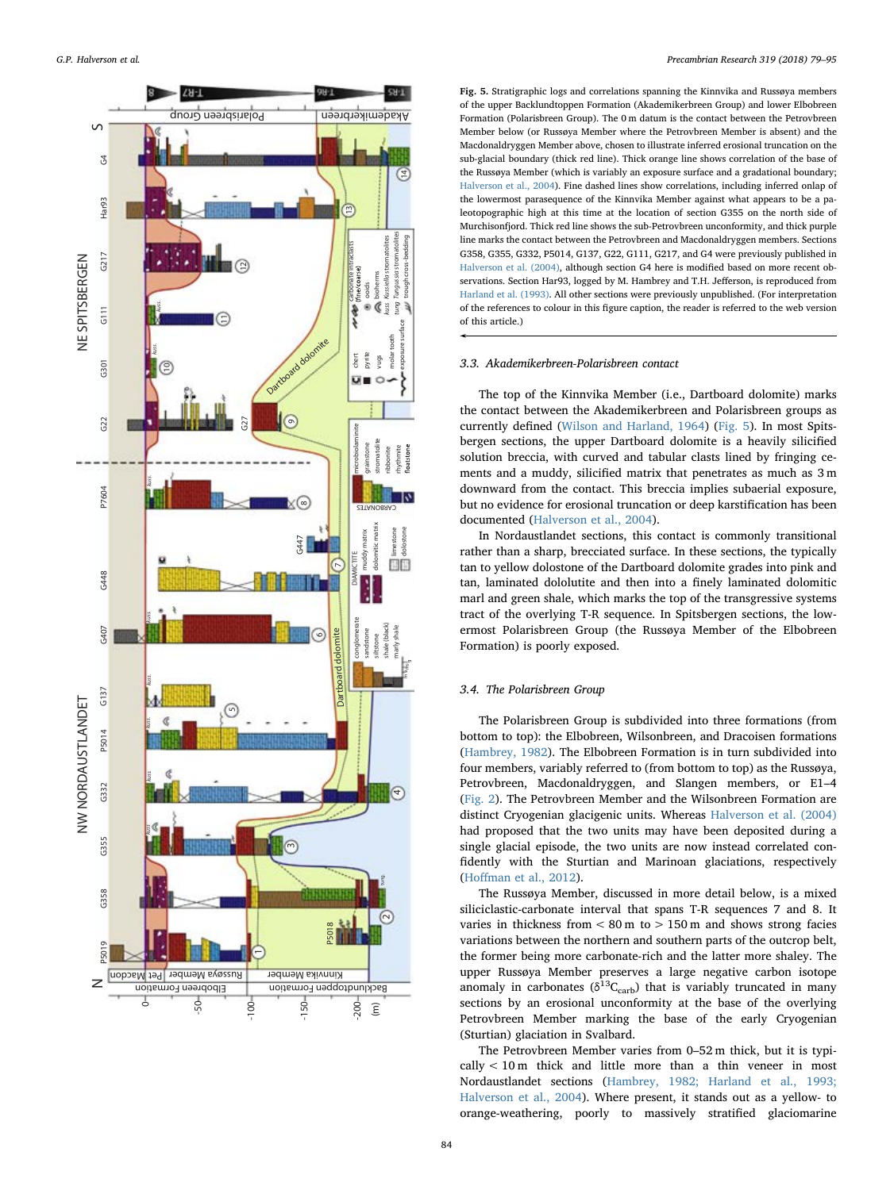<span id="page-5-0"></span>

Fig. 5. Stratigraphic logs and correlations spanning the Kinnvika and Russøya members of the upper Backlundtoppen Formation (Akademikerbreen Group) and lower Elbobreen Formation (Polarisbreen Group). The 0 m datum is the contact between the Petrovbreen Member below (or Russøya Member where the Petrovbreen Member is absent) and the Macdonaldryggen Member above, chosen to illustrate inferred erosional truncation on the sub-glacial boundary (thick red line). Thick orange line shows correlation of the base of the Russøya Member (which is variably an exposure surface and a gradational boundary; [Halverson et al., 2004\)](#page-15-16). Fine dashed lines show correlations, including inferred onlap of the lowermost parasequence of the Kinnvika Member against what appears to be a paleotopographic high at this time at the location of section G355 on the north side of Murchisonfjord. Thick red line shows the sub-Petrovbreen unconformity, and thick purple line marks the contact between the Petrovbreen and Macdonaldryggen members. Sections G358, G355, G332, P5014, G137, G22, G111, G217, and G4 were previously published in [Halverson et al. \(2004\),](#page-15-16) although section G4 here is modified based on more recent observations. Section Har93, logged by M. Hambrey and T.H. Jefferson, is reproduced from [Harland et al. \(1993\)](#page-15-1). All other sections were previously unpublished. (For interpretation of the references to colour in this figure caption, the reader is referred to the web version of this article.)

### 3.3. Akademikerbreen-Polarisbreen contact

The top of the Kinnvika Member (i.e., Dartboard dolomite) marks the contact between the Akademikerbreen and Polarisbreen groups as currently defined [\(Wilson and Harland, 1964\)](#page-16-5) ([Fig. 5\)](#page-5-0). In most Spitsbergen sections, the upper Dartboard dolomite is a heavily silicified solution breccia, with curved and tabular clasts lined by fringing cements and a muddy, silicified matrix that penetrates as much as 3 m downward from the contact. This breccia implies subaerial exposure, but no evidence for erosional truncation or deep karstification has been documented ([Halverson et al., 2004\)](#page-15-16).

In Nordaustlandet sections, this contact is commonly transitional rather than a sharp, brecciated surface. In these sections, the typically tan to yellow dolostone of the Dartboard dolomite grades into pink and tan, laminated dololutite and then into a finely laminated dolomitic marl and green shale, which marks the top of the transgressive systems tract of the overlying T-R sequence. In Spitsbergen sections, the lowermost Polarisbreen Group (the Russøya Member of the Elbobreen Formation) is poorly exposed.

## 3.4. The Polarisbreen Group

The Polarisbreen Group is subdivided into three formations (from bottom to top): the Elbobreen, Wilsonbreen, and Dracoisen formations ([Hambrey, 1982\)](#page-15-20). The Elbobreen Formation is in turn subdivided into four members, variably referred to (from bottom to top) as the Russøya, Petrovbreen, Macdonaldryggen, and Slangen members, or E1–4 ([Fig. 2\)](#page-2-0). The Petrovbreen Member and the Wilsonbreen Formation are distinct Cryogenian glacigenic units. Whereas [Halverson et al. \(2004\)](#page-15-16) had proposed that the two units may have been deposited during a single glacial episode, the two units are now instead correlated confidently with the Sturtian and Marinoan glaciations, respectively (Hoff[man et al., 2012\)](#page-15-7).

The Russøya Member, discussed in more detail below, is a mixed siliciclastic-carbonate interval that spans T-R sequences 7 and 8. It varies in thickness from  $< 80$  m to  $> 150$  m and shows strong facies variations between the northern and southern parts of the outcrop belt, the former being more carbonate-rich and the latter more shaley. The upper Russøya Member preserves a large negative carbon isotope anomaly in carbonates ( $\delta^{13}C_{\rm carb}$ ) that is variably truncated in many sections by an erosional unconformity at the base of the overlying Petrovbreen Member marking the base of the early Cryogenian (Sturtian) glaciation in Svalbard.

The Petrovbreen Member varies from 0–52 m thick, but it is typically < 10 m thick and little more than a thin veneer in most Nordaustlandet sections ([Hambrey, 1982; Harland et al., 1993;](#page-15-20) [Halverson et al., 2004\)](#page-15-20). Where present, it stands out as a yellow- to orange-weathering, poorly to massively stratified glaciomarine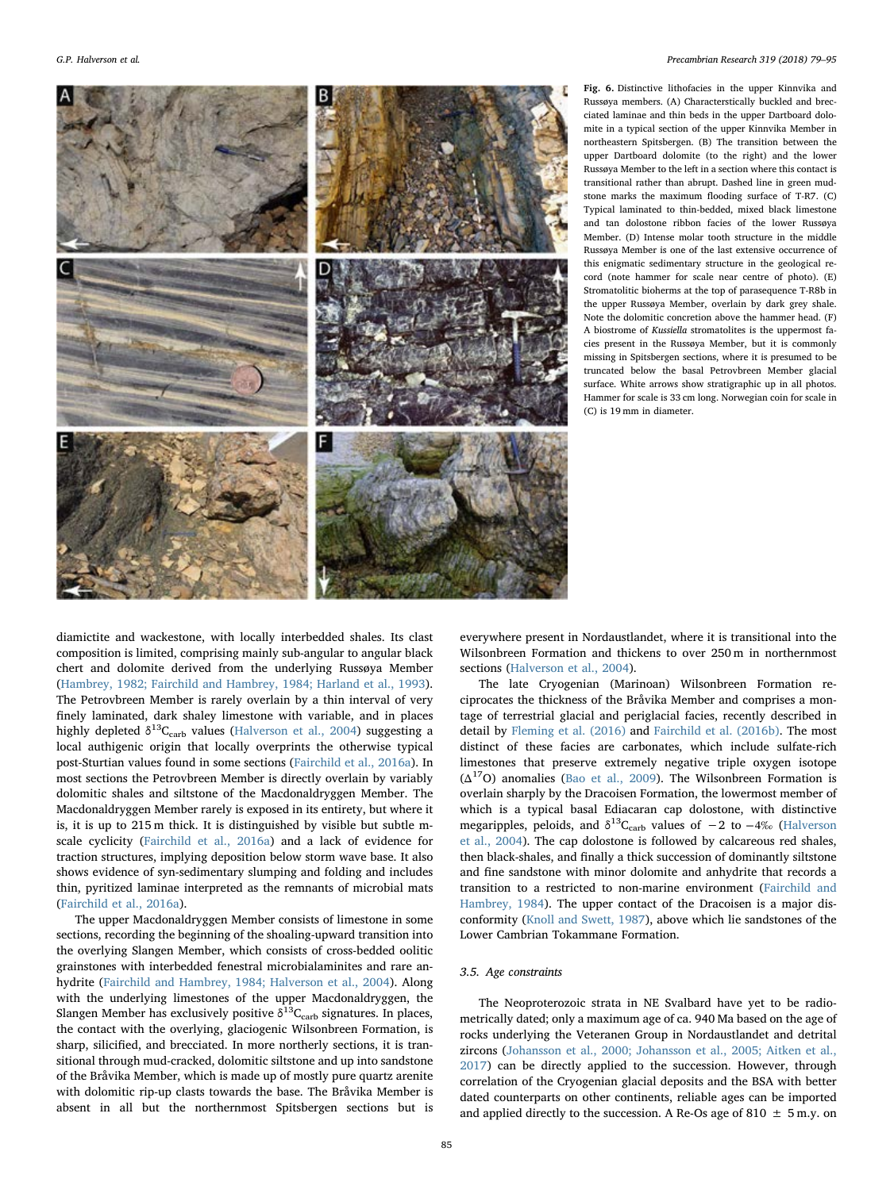<span id="page-6-0"></span>

Fig. 6. Distinctive lithofacies in the upper Kinnvika and Russøya members. (A) Characterstically buckled and brecciated laminae and thin beds in the upper Dartboard dolomite in a typical section of the upper Kinnvika Member in northeastern Spitsbergen. (B) The transition between the upper Dartboard dolomite (to the right) and the lower Russøya Member to the left in a section where this contact is transitional rather than abrupt. Dashed line in green mudstone marks the maximum flooding surface of T-R7. (C) Typical laminated to thin-bedded, mixed black limestone and tan dolostone ribbon facies of the lower Russøya Member. (D) Intense molar tooth structure in the middle Russøya Member is one of the last extensive occurrence of this enigmatic sedimentary structure in the geological record (note hammer for scale near centre of photo). (E) Stromatolitic bioherms at the top of parasequence T-R8b in the upper Russøya Member, overlain by dark grey shale. Note the dolomitic concretion above the hammer head. (F) A biostrome of Kussiella stromatolites is the uppermost facies present in the Russøya Member, but it is commonly missing in Spitsbergen sections, where it is presumed to be truncated below the basal Petrovbreen Member glacial surface. White arrows show stratigraphic up in all photos. Hammer for scale is 33 cm long. Norwegian coin for scale in (C) is 19 mm in diameter.

diamictite and wackestone, with locally interbedded shales. Its clast composition is limited, comprising mainly sub-angular to angular black chert and dolomite derived from the underlying Russøya Member ([Hambrey, 1982; Fairchild and Hambrey, 1984; Harland et al., 1993](#page-15-20)). The Petrovbreen Member is rarely overlain by a thin interval of very finely laminated, dark shaley limestone with variable, and in places highly depleted  $\delta^{13}C_{\text{carb}}$  values [\(Halverson et al., 2004\)](#page-15-16) suggesting a local authigenic origin that locally overprints the otherwise typical post-Sturtian values found in some sections ([Fairchild et al., 2016a\)](#page-14-8). In most sections the Petrovbreen Member is directly overlain by variably dolomitic shales and siltstone of the Macdonaldryggen Member. The Macdonaldryggen Member rarely is exposed in its entirety, but where it is, it is up to 215 m thick. It is distinguished by visible but subtle mscale cyclicity [\(Fairchild et al., 2016a\)](#page-14-8) and a lack of evidence for traction structures, implying deposition below storm wave base. It also shows evidence of syn-sedimentary slumping and folding and includes thin, pyritized laminae interpreted as the remnants of microbial mats ([Fairchild et al., 2016a\)](#page-14-8).

The upper Macdonaldryggen Member consists of limestone in some sections, recording the beginning of the shoaling-upward transition into the overlying Slangen Member, which consists of cross-bedded oolitic grainstones with interbedded fenestral microbialaminites and rare anhydrite ([Fairchild and Hambrey, 1984; Halverson et al., 2004\)](#page-14-9). Along with the underlying limestones of the upper Macdonaldryggen, the Slangen Member has exclusively positive  $\delta^{13}C_{\text{carb}}$  signatures. In places, the contact with the overlying, glaciogenic Wilsonbreen Formation, is sharp, silicified, and brecciated. In more northerly sections, it is transitional through mud-cracked, dolomitic siltstone and up into sandstone of the Bråvika Member, which is made up of mostly pure quartz arenite with dolomitic rip-up clasts towards the base. The Bråvika Member is absent in all but the northernmost Spitsbergen sections but is

everywhere present in Nordaustlandet, where it is transitional into the Wilsonbreen Formation and thickens to over 250 m in northernmost sections [\(Halverson et al., 2004](#page-15-16)).

The late Cryogenian (Marinoan) Wilsonbreen Formation reciprocates the thickness of the Bråvika Member and comprises a montage of terrestrial glacial and periglacial facies, recently described in detail by [Fleming et al. \(2016\)](#page-14-10) and [Fairchild et al. \(2016b\)](#page-14-11). The most distinct of these facies are carbonates, which include sulfate-rich limestones that preserve extremely negative triple oxygen isotope  $({\Delta}^{17}O)$  anomalies ([Bao et al., 2009](#page-14-12)). The Wilsonbreen Formation is overlain sharply by the Dracoisen Formation, the lowermost member of which is a typical basal Ediacaran cap dolostone, with distinctive megaripples, peloids, and  $\delta^{13}C_{\rm carb}$  values of  $-2$  to  $-4\%$  [\(Halverson](#page-15-16) [et al., 2004](#page-15-16)). The cap dolostone is followed by calcareous red shales, then black-shales, and finally a thick succession of dominantly siltstone and fine sandstone with minor dolomite and anhydrite that records a transition to a restricted to non-marine environment [\(Fairchild and](#page-14-9) [Hambrey, 1984\)](#page-14-9). The upper contact of the Dracoisen is a major disconformity ([Knoll and Swett, 1987](#page-15-21)), above which lie sandstones of the Lower Cambrian Tokammane Formation.

# 3.5. Age constraints

The Neoproterozoic strata in NE Svalbard have yet to be radiometrically dated; only a maximum age of ca. 940 Ma based on the age of rocks underlying the Veteranen Group in Nordaustlandet and detrital zircons ([Johansson et al., 2000; Johansson et al., 2005; Aitken et al.,](#page-15-22) [2017\)](#page-15-22) can be directly applied to the succession. However, through correlation of the Cryogenian glacial deposits and the BSA with better dated counterparts on other continents, reliable ages can be imported and applied directly to the succession. A Re-Os age of 810  $\pm$  5 m.y. on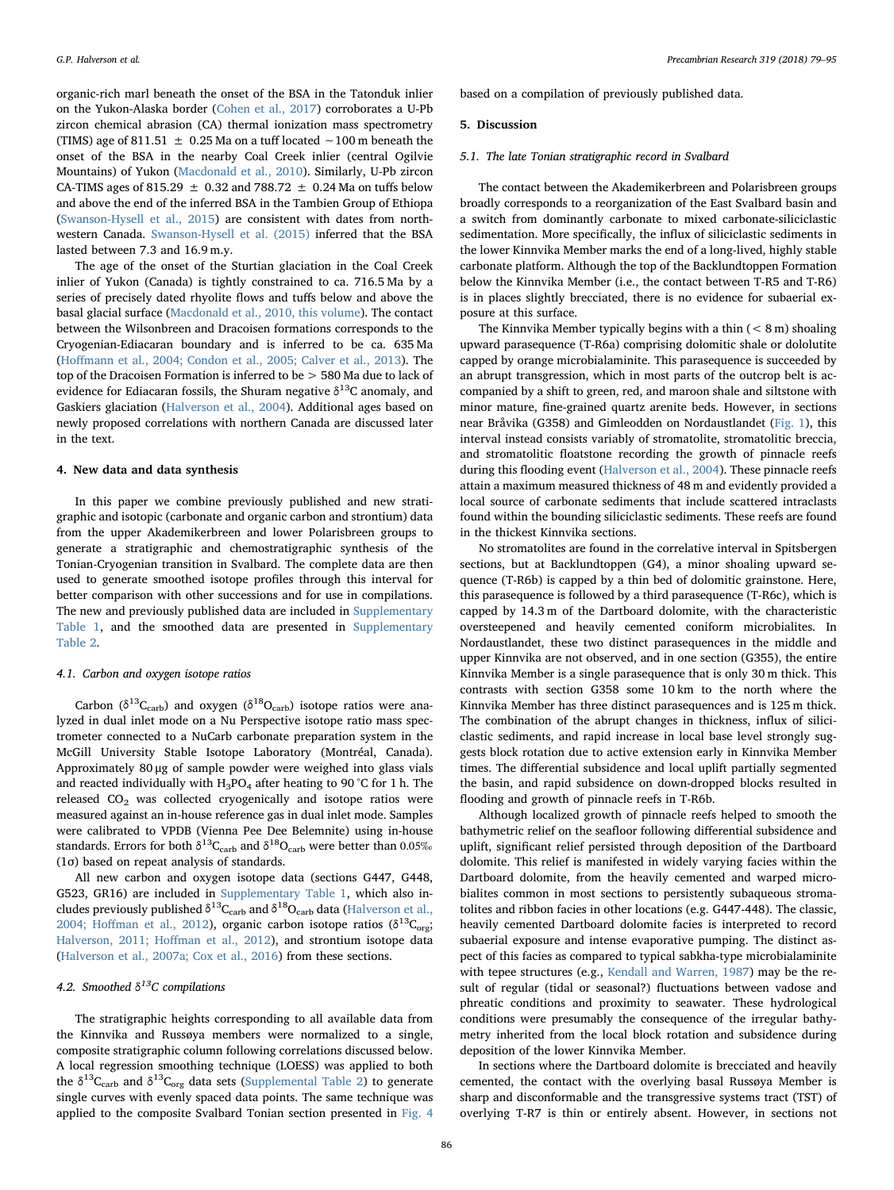organic-rich marl beneath the onset of the BSA in the Tatonduk inlier on the Yukon-Alaska border [\(Cohen et al., 2017](#page-14-13)) corroborates a U-Pb zircon chemical abrasion (CA) thermal ionization mass spectrometry (TIMS) age of 811.51 ± 0.25 Ma on a tuff located ∼100 m beneath the onset of the BSA in the nearby Coal Creek inlier (central Ogilvie Mountains) of Yukon ([Macdonald et al., 2010\)](#page-15-23). Similarly, U-Pb zircon CA-TIMS ages of 815.29  $\pm$  0.32 and 788.72  $\pm$  0.24 Ma on tuffs below and above the end of the inferred BSA in the Tambien Group of Ethiopa ([Swanson-Hysell et al., 2015](#page-16-6)) are consistent with dates from northwestern Canada. [Swanson-Hysell et al. \(2015\)](#page-16-6) inferred that the BSA lasted between 7.3 and 16.9 m.y.

The age of the onset of the Sturtian glaciation in the Coal Creek inlier of Yukon (Canada) is tightly constrained to ca. 716.5 Ma by a series of precisely dated rhyolite flows and tuffs below and above the basal glacial surface [\(Macdonald et al., 2010, this volume](#page-15-23)). The contact between the Wilsonbreen and Dracoisen formations corresponds to the Cryogenian-Ediacaran boundary and is inferred to be ca. 635 Ma (Hoff[mann et al., 2004; Condon et al., 2005; Calver et al., 2013](#page-15-8)). The top of the Dracoisen Formation is inferred to be > 580 Ma due to lack of evidence for Ediacaran fossils, the Shuram negative  $\delta^{13}$ C anomaly, and Gaskiers glaciation ([Halverson et al., 2004](#page-15-16)). Additional ages based on newly proposed correlations with northern Canada are discussed later in the text.

## 4. New data and data synthesis

In this paper we combine previously published and new stratigraphic and isotopic (carbonate and organic carbon and strontium) data from the upper Akademikerbreen and lower Polarisbreen groups to generate a stratigraphic and chemostratigraphic synthesis of the Tonian-Cryogenian transition in Svalbard. The complete data are then used to generate smoothed isotope profiles through this interval for better comparison with other successions and for use in compilations. The new and previously published data are included in Supplementary Table 1, and the smoothed data are presented in Supplementary Table 2.

#### 4.1. Carbon and oxygen isotope ratios

Carbon ( $\delta^{13}C_{\text{carb}}$ ) and oxygen ( $\delta^{18}O_{\text{carb}}$ ) isotope ratios were analyzed in dual inlet mode on a Nu Perspective isotope ratio mass spectrometer connected to a NuCarb carbonate preparation system in the McGill University Stable Isotope Laboratory (Montréal, Canada). Approximately 80 μg of sample powder were weighed into glass vials and reacted individually with  $H_3PO_4$  after heating to 90 °C for 1 h. The released  $CO<sub>2</sub>$  was collected cryogenically and isotope ratios were measured against an in-house reference gas in dual inlet mode. Samples were calibrated to VPDB (Vienna Pee Dee Belemnite) using in-house standards. Errors for both  $\delta^{13}C_{\rm carb}$  and  $\delta^{18}O_{\rm carb}$  were better than 0.05‰ (1σ) based on repeat analysis of standards.

All new carbon and oxygen isotope data (sections G447, G448, G523, GR16) are included in Supplementary Table 1, which also includes previously published  $\delta^{13}C_{\rm carb}$  and  $\delta^{18}O_{\rm carb}$  data [\(Halverson et al.,](#page-15-16) 2004; Hoff[man et al., 2012](#page-15-16)), organic carbon isotope ratios ( $\delta^{13}C_{org}$ ; [Halverson, 2011; Ho](#page-15-9)ffman et al., 2012), and strontium isotope data ([Halverson et al., 2007a; Cox et al., 2016](#page-15-24)) from these sections.

## 4.2. Smoothed  $\delta^{13}$ C compilations

The stratigraphic heights corresponding to all available data from the Kinnvika and Russøya members were normalized to a single, composite stratigraphic column following correlations discussed below. A local regression smoothing technique (LOESS) was applied to both the  $\delta^{13}C_{\text{carb}}$  and  $\delta^{13}C_{\text{org}}$  data sets (Supplemental Table 2) to generate single curves with evenly spaced data points. The same technique was applied to the composite Svalbard Tonian section presented in [Fig. 4](#page-4-0)

based on a compilation of previously published data.

#### 5. Discussion

#### 5.1. The late Tonian stratigraphic record in Svalbard

The contact between the Akademikerbreen and Polarisbreen groups broadly corresponds to a reorganization of the East Svalbard basin and a switch from dominantly carbonate to mixed carbonate-siliciclastic sedimentation. More specifically, the influx of siliciclastic sediments in the lower Kinnvika Member marks the end of a long-lived, highly stable carbonate platform. Although the top of the Backlundtoppen Formation below the Kinnvika Member (i.e., the contact between T-R5 and T-R6) is in places slightly brecciated, there is no evidence for subaerial exposure at this surface.

The Kinnvika Member typically begins with a thin  $(< 8 \text{ m})$  shoaling upward parasequence (T-R6a) comprising dolomitic shale or dololutite capped by orange microbialaminite. This parasequence is succeeded by an abrupt transgression, which in most parts of the outcrop belt is accompanied by a shift to green, red, and maroon shale and siltstone with minor mature, fine-grained quartz arenite beds. However, in sections near Bråvika (G358) and Gimleodden on Nordaustlandet [\(Fig. 1\)](#page-1-0), this interval instead consists variably of stromatolite, stromatolitic breccia, and stromatolitic floatstone recording the growth of pinnacle reefs during this flooding event [\(Halverson et al., 2004](#page-15-16)). These pinnacle reefs attain a maximum measured thickness of 48 m and evidently provided a local source of carbonate sediments that include scattered intraclasts found within the bounding siliciclastic sediments. These reefs are found in the thickest Kinnvika sections.

No stromatolites are found in the correlative interval in Spitsbergen sections, but at Backlundtoppen (G4), a minor shoaling upward sequence (T-R6b) is capped by a thin bed of dolomitic grainstone. Here, this parasequence is followed by a third parasequence (T-R6c), which is capped by 14.3 m of the Dartboard dolomite, with the characteristic oversteepened and heavily cemented coniform microbialites. In Nordaustlandet, these two distinct parasequences in the middle and upper Kinnvika are not observed, and in one section (G355), the entire Kinnvika Member is a single parasequence that is only 30 m thick. This contrasts with section G358 some 10 km to the north where the Kinnvika Member has three distinct parasequences and is 125 m thick. The combination of the abrupt changes in thickness, influx of siliciclastic sediments, and rapid increase in local base level strongly suggests block rotation due to active extension early in Kinnvika Member times. The differential subsidence and local uplift partially segmented the basin, and rapid subsidence on down-dropped blocks resulted in flooding and growth of pinnacle reefs in T-R6b.

Although localized growth of pinnacle reefs helped to smooth the bathymetric relief on the seafloor following differential subsidence and uplift, significant relief persisted through deposition of the Dartboard dolomite. This relief is manifested in widely varying facies within the Dartboard dolomite, from the heavily cemented and warped microbialites common in most sections to persistently subaqueous stromatolites and ribbon facies in other locations (e.g. G447-448). The classic, heavily cemented Dartboard dolomite facies is interpreted to record subaerial exposure and intense evaporative pumping. The distinct aspect of this facies as compared to typical sabkha-type microbialaminite with tepee structures (e.g., [Kendall and Warren, 1987](#page-15-25)) may be the result of regular (tidal or seasonal?) fluctuations between vadose and phreatic conditions and proximity to seawater. These hydrological conditions were presumably the consequence of the irregular bathymetry inherited from the local block rotation and subsidence during deposition of the lower Kinnvika Member.

In sections where the Dartboard dolomite is brecciated and heavily cemented, the contact with the overlying basal Russøya Member is sharp and disconformable and the transgressive systems tract (TST) of overlying T-R7 is thin or entirely absent. However, in sections not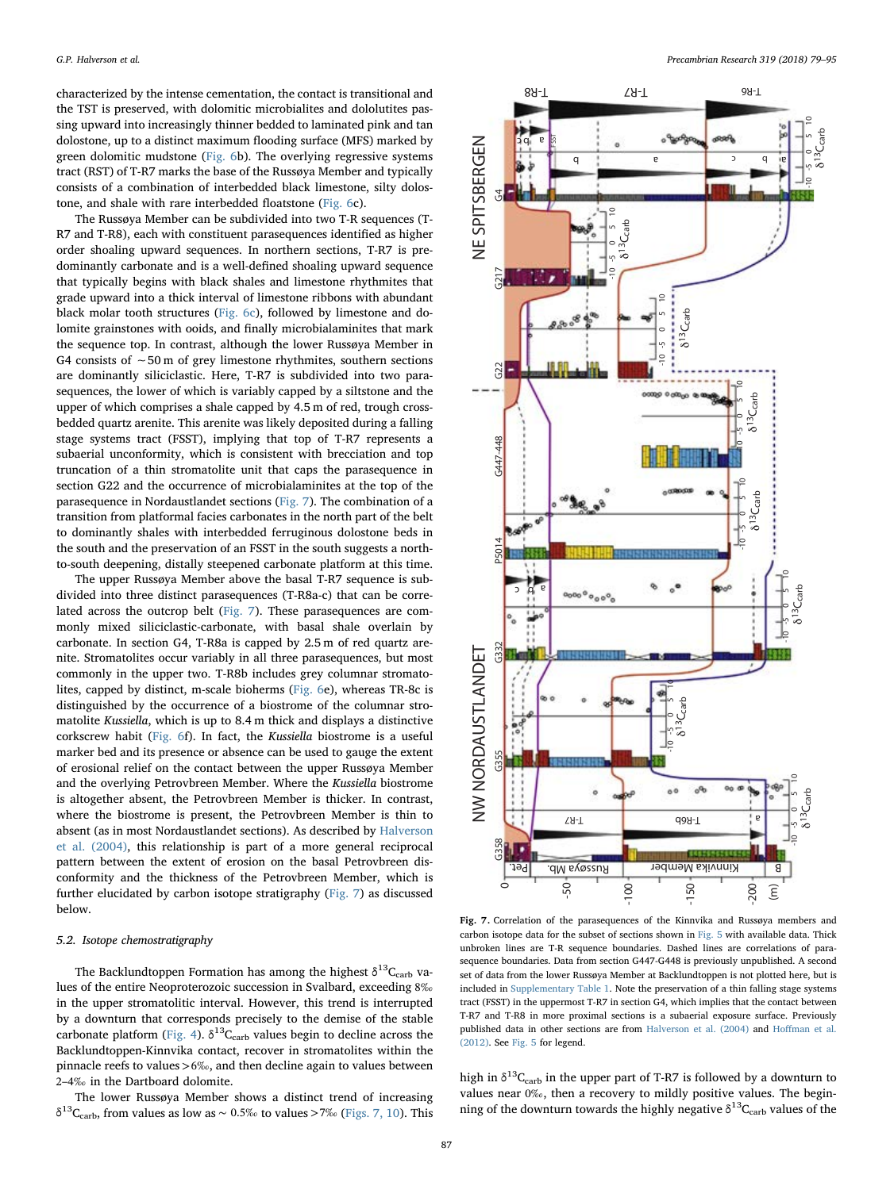characterized by the intense cementation, the contact is transitional and the TST is preserved, with dolomitic microbialites and dololutites passing upward into increasingly thinner bedded to laminated pink and tan dolostone, up to a distinct maximum flooding surface (MFS) marked by green dolomitic mudstone [\(Fig. 6](#page-6-0)b). The overlying regressive systems tract (RST) of T-R7 marks the base of the Russøya Member and typically consists of a combination of interbedded black limestone, silty dolostone, and shale with rare interbedded floatstone [\(Fig. 6c](#page-6-0)).

The Russøya Member can be subdivided into two T-R sequences (T-R7 and T-R8), each with constituent parasequences identified as higher order shoaling upward sequences. In northern sections, T-R7 is predominantly carbonate and is a well-defined shoaling upward sequence that typically begins with black shales and limestone rhythmites that grade upward into a thick interval of limestone ribbons with abundant black molar tooth structures ([Fig. 6c](#page-6-0)), followed by limestone and dolomite grainstones with ooids, and finally microbialaminites that mark the sequence top. In contrast, although the lower Russøya Member in G4 consists of ∼50 m of grey limestone rhythmites, southern sections are dominantly siliciclastic. Here, T-R7 is subdivided into two parasequences, the lower of which is variably capped by a siltstone and the upper of which comprises a shale capped by 4.5 m of red, trough crossbedded quartz arenite. This arenite was likely deposited during a falling stage systems tract (FSST), implying that top of T-R7 represents a subaerial unconformity, which is consistent with brecciation and top truncation of a thin stromatolite unit that caps the parasequence in section G22 and the occurrence of microbialaminites at the top of the parasequence in Nordaustlandet sections [\(Fig. 7](#page-8-0)). The combination of a transition from platformal facies carbonates in the north part of the belt to dominantly shales with interbedded ferruginous dolostone beds in the south and the preservation of an FSST in the south suggests a northto-south deepening, distally steepened carbonate platform at this time.

The upper Russøya Member above the basal T-R7 sequence is subdivided into three distinct parasequences (T-R8a-c) that can be correlated across the outcrop belt ([Fig. 7\)](#page-8-0). These parasequences are commonly mixed siliciclastic-carbonate, with basal shale overlain by carbonate. In section G4, T-R8a is capped by 2.5 m of red quartz arenite. Stromatolites occur variably in all three parasequences, but most commonly in the upper two. T-R8b includes grey columnar stromatolites, capped by distinct, m-scale bioherms [\(Fig. 6e](#page-6-0)), whereas TR-8c is distinguished by the occurrence of a biostrome of the columnar stromatolite Kussiella, which is up to 8.4 m thick and displays a distinctive corkscrew habit ([Fig. 6f](#page-6-0)). In fact, the Kussiella biostrome is a useful marker bed and its presence or absence can be used to gauge the extent of erosional relief on the contact between the upper Russøya Member and the overlying Petrovbreen Member. Where the Kussiella biostrome is altogether absent, the Petrovbreen Member is thicker. In contrast, where the biostrome is present, the Petrovbreen Member is thin to absent (as in most Nordaustlandet sections). As described by [Halverson](#page-15-16) [et al. \(2004\),](#page-15-16) this relationship is part of a more general reciprocal pattern between the extent of erosion on the basal Petrovbreen disconformity and the thickness of the Petrovbreen Member, which is further elucidated by carbon isotope stratigraphy [\(Fig. 7\)](#page-8-0) as discussed below.

## 5.2. Isotope chemostratigraphy

The Backlundtoppen Formation has among the highest  $\delta^{13}C_{\text{carb}}$  values of the entire Neoproterozoic succession in Svalbard, exceeding 8‰ in the upper stromatolitic interval. However, this trend is interrupted by a downturn that corresponds precisely to the demise of the stable carbonate platform [\(Fig. 4](#page-4-0)).  $\delta^{13}C_{\rm carb}$  values begin to decline across the Backlundtoppen-Kinnvika contact, recover in stromatolites within the pinnacle reefs to values >6‰, and then decline again to values between 2–4‰ in the Dartboard dolomite.

The lower Russøya Member shows a distinct trend of increasing δ<sup>13</sup>C<sub>carb</sub>, from values as low as ~ 0.5‰ to values >7‰ [\(Figs. 7, 10](#page-8-0)). This

<span id="page-8-0"></span>

carbon isotope data for the subset of sections shown in [Fig. 5](#page-5-0) with available data. Thick unbroken lines are T-R sequence boundaries. Dashed lines are correlations of parasequence boundaries. Data from section G447-G448 is previously unpublished. A second set of data from the lower Russøya Member at Backlundtoppen is not plotted here, but is included in Supplementary Table 1. Note the preservation of a thin falling stage systems tract (FSST) in the uppermost T-R7 in section G4, which implies that the contact between T-R7 and T-R8 in more proximal sections is a subaerial exposure surface. Previously published data in other sections are from [Halverson et al. \(2004\)](#page-15-16) and Hoff[man et al.](#page-15-7) [\(2012\).](#page-15-7) See [Fig. 5](#page-5-0) for legend.

high in  $\delta^{13}C_{\text{carb}}$  in the upper part of T-R7 is followed by a downturn to values near 0‰, then a recovery to mildly positive values. The beginning of the downturn towards the highly negative  $\delta^{13}C_{\rm carb}$  values of the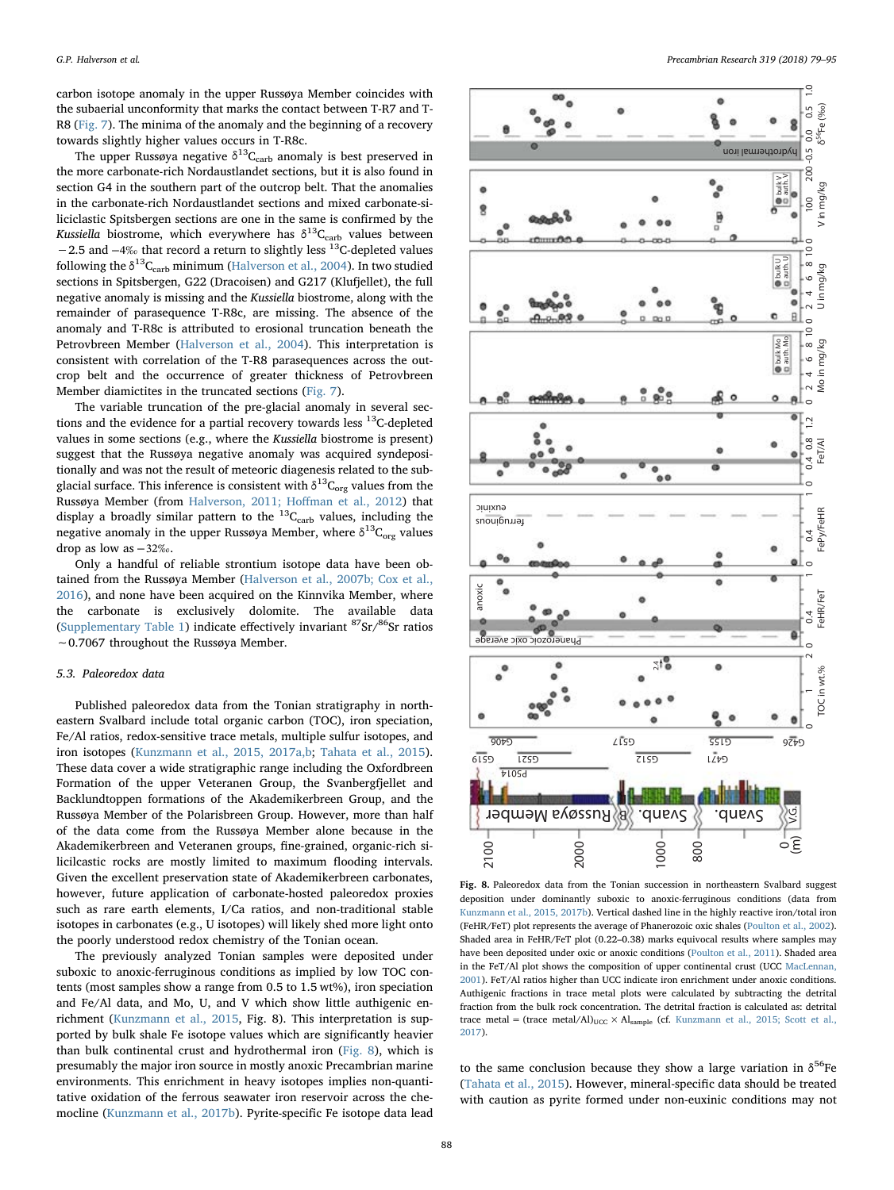carbon isotope anomaly in the upper Russøya Member coincides with the subaerial unconformity that marks the contact between T-R7 and T-R8 [\(Fig. 7\)](#page-8-0). The minima of the anomaly and the beginning of a recovery towards slightly higher values occurs in T-R8c.

The upper Russøya negative  $\delta^{13}C_{\rm carb}$  anomaly is best preserved in the more carbonate-rich Nordaustlandet sections, but it is also found in section G4 in the southern part of the outcrop belt. That the anomalies in the carbonate-rich Nordaustlandet sections and mixed carbonate-siliciclastic Spitsbergen sections are one in the same is confirmed by the Kussiella biostrome, which everywhere has  $\delta^{13}C_{\text{carb}}$  values between −2.5 and  $-4\%$  that record a return to slightly less <sup>13</sup>C-depleted values following the  $\delta^{13}C_{\text{carb}}$  minimum [\(Halverson et al., 2004](#page-15-16)). In two studied sections in Spitsbergen, G22 (Dracoisen) and G217 (Klufjellet), the full negative anomaly is missing and the Kussiella biostrome, along with the remainder of parasequence T-R8c, are missing. The absence of the anomaly and T-R8c is attributed to erosional truncation beneath the Petrovbreen Member [\(Halverson et al., 2004\)](#page-15-16). This interpretation is consistent with correlation of the T-R8 parasequences across the outcrop belt and the occurrence of greater thickness of Petrovbreen Member diamictites in the truncated sections [\(Fig. 7\)](#page-8-0).

The variable truncation of the pre-glacial anomaly in several sections and the evidence for a partial recovery towards less  $^{13}$ C-depleted values in some sections (e.g., where the Kussiella biostrome is present) suggest that the Russøya negative anomaly was acquired syndepositionally and was not the result of meteoric diagenesis related to the subglacial surface. This inference is consistent with  $\delta^{13}C_{org}$  values from the Russøya Member (from [Halverson, 2011; Ho](#page-15-9)ffman et al., 2012) that display a broadly similar pattern to the  ${}^{13}C_{\text{carb}}$  values, including the negative anomaly in the upper Russøya Member, where  $\delta^{13}C_{org}$  values drop as low as −32‰.

Only a handful of reliable strontium isotope data have been obtained from the Russøya Member ([Halverson et al., 2007b; Cox et al.,](#page-15-6) [2016\)](#page-15-6), and none have been acquired on the Kinnvika Member, where the carbonate is exclusively dolomite. The available data (Supplementary Table 1) indicate effectively invariant  $87$ Sr/ $86$ Sr ratios ∼0.7067 throughout the Russøya Member.

#### 5.3. Paleoredox data

Published paleoredox data from the Tonian stratigraphy in northeastern Svalbard include total organic carbon (TOC), iron speciation, Fe/Al ratios, redox-sensitive trace metals, multiple sulfur isotopes, and iron isotopes [\(Kunzmann et al., 2015, 2017a,b;](#page-15-26) [Tahata et al., 2015](#page-16-7)). These data cover a wide stratigraphic range including the Oxfordbreen Formation of the upper Veteranen Group, the Svanbergfjellet and Backlundtoppen formations of the Akademikerbreen Group, and the Russøya Member of the Polarisbreen Group. However, more than half of the data come from the Russøya Member alone because in the Akademikerbreen and Veteranen groups, fine-grained, organic-rich silicilcastic rocks are mostly limited to maximum flooding intervals. Given the excellent preservation state of Akademikerbreen carbonates, however, future application of carbonate-hosted paleoredox proxies such as rare earth elements, I/Ca ratios, and non-traditional stable isotopes in carbonates (e.g., U isotopes) will likely shed more light onto the poorly understood redox chemistry of the Tonian ocean.

The previously analyzed Tonian samples were deposited under suboxic to anoxic-ferruginous conditions as implied by low TOC contents (most samples show a range from 0.5 to 1.5 wt%), iron speciation and Fe/Al data, and Mo, U, and V which show little authigenic enrichment ([Kunzmann et al., 2015](#page-15-26), Fig. 8). This interpretation is supported by bulk shale Fe isotope values which are significantly heavier than bulk continental crust and hydrothermal iron ([Fig. 8\)](#page-9-0), which is presumably the major iron source in mostly anoxic Precambrian marine environments. This enrichment in heavy isotopes implies non-quantitative oxidation of the ferrous seawater iron reservoir across the chemocline [\(Kunzmann et al., 2017b\)](#page-15-27). Pyrite-specific Fe isotope data lead

<span id="page-9-0"></span>

Fig. 8. Paleoredox data from the Tonian succession in northeastern Svalbard suggest deposition under dominantly suboxic to anoxic-ferruginous conditions (data from [Kunzmann et al., 2015, 2017b\)](#page-15-26). Vertical dashed line in the highly reactive iron/total iron (FeHR/FeT) plot represents the average of Phanerozoic oxic shales ([Poulton et al., 2002](#page-15-28)). Shaded area in FeHR/FeT plot (0.22–0.38) marks equivocal results where samples may have been deposited under oxic or anoxic conditions ([Poulton et al., 2011\)](#page-15-29). Shaded area in the FeT/Al plot shows the composition of upper continental crust (UCC [MacLennan,](#page-15-30) [2001\)](#page-15-30). FeT/Al ratios higher than UCC indicate iron enrichment under anoxic conditions. Authigenic fractions in trace metal plots were calculated by subtracting the detrital fraction from the bulk rock concentration. The detrital fraction is calculated as: detrital trace metal = (trace metal/Al)<sub>UCC</sub> × Al<sub>sample</sub> (cf. [Kunzmann et al., 2015; Scott et al.,](#page-15-26) [2017\)](#page-15-26).

to the same conclusion because they show a large variation in  $\delta^{56}$ Fe ([Tahata et al., 2015](#page-16-7)). However, mineral-specific data should be treated with caution as pyrite formed under non-euxinic conditions may not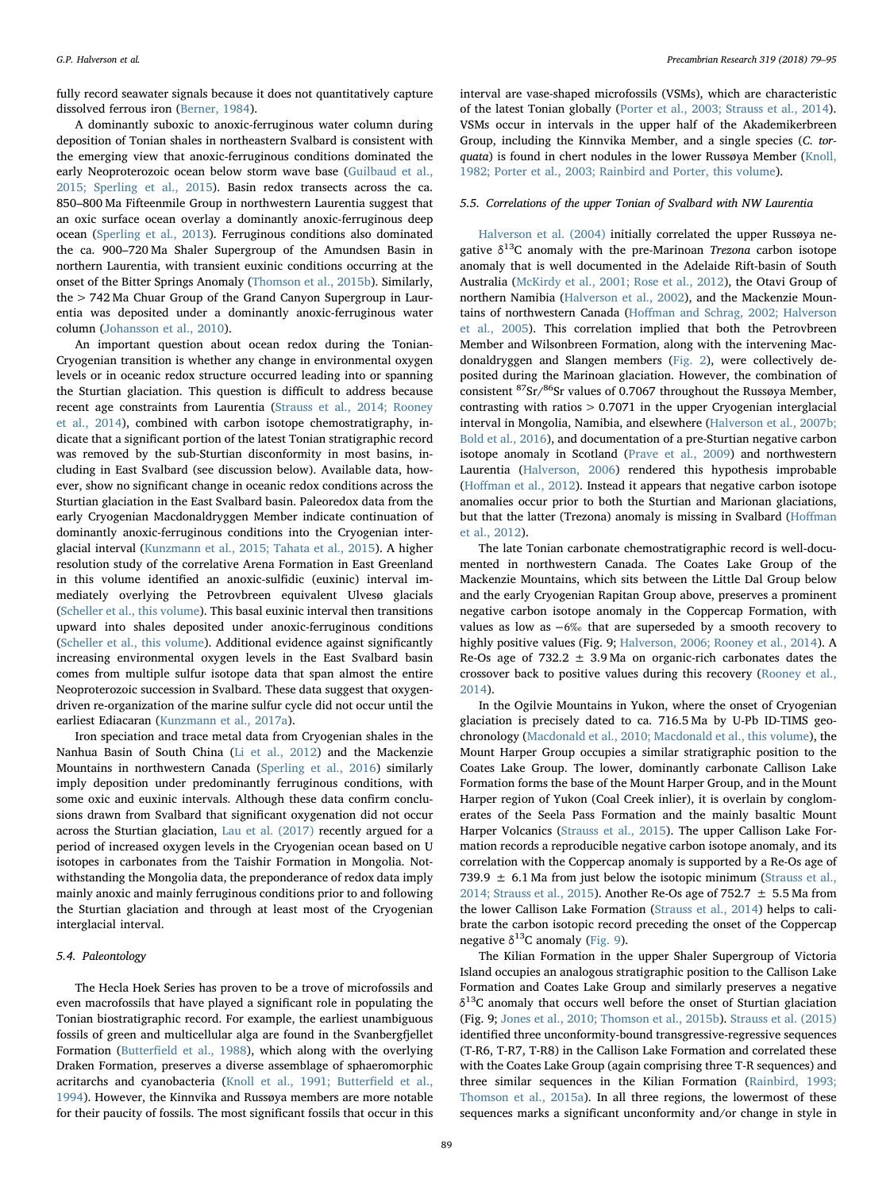fully record seawater signals because it does not quantitatively capture dissolved ferrous iron [\(Berner, 1984\)](#page-14-14).

A dominantly suboxic to anoxic-ferruginous water column during deposition of Tonian shales in northeastern Svalbard is consistent with the emerging view that anoxic-ferruginous conditions dominated the early Neoproterozoic ocean below storm wave base [\(Guilbaud et al.,](#page-14-15) [2015; Sperling et al., 2015\)](#page-14-15). Basin redox transects across the ca. 850–800 Ma Fifteenmile Group in northwestern Laurentia suggest that an oxic surface ocean overlay a dominantly anoxic-ferruginous deep ocean ([Sperling et al., 2013](#page-16-8)). Ferruginous conditions also dominated the ca. 900–720 Ma Shaler Supergroup of the Amundsen Basin in northern Laurentia, with transient euxinic conditions occurring at the onset of the Bitter Springs Anomaly [\(Thomson et al., 2015b](#page-16-9)). Similarly, the > 742 Ma Chuar Group of the Grand Canyon Supergroup in Laurentia was deposited under a dominantly anoxic-ferruginous water column ([Johansson et al., 2010](#page-15-31)).

An important question about ocean redox during the Tonian-Cryogenian transition is whether any change in environmental oxygen levels or in oceanic redox structure occurred leading into or spanning the Sturtian glaciation. This question is difficult to address because recent age constraints from Laurentia ([Strauss et al., 2014; Rooney](#page-16-10) [et al., 2014](#page-16-10)), combined with carbon isotope chemostratigraphy, indicate that a significant portion of the latest Tonian stratigraphic record was removed by the sub-Sturtian disconformity in most basins, including in East Svalbard (see discussion below). Available data, however, show no significant change in oceanic redox conditions across the Sturtian glaciation in the East Svalbard basin. Paleoredox data from the early Cryogenian Macdonaldryggen Member indicate continuation of dominantly anoxic-ferruginous conditions into the Cryogenian interglacial interval [\(Kunzmann et al., 2015; Tahata et al., 2015\)](#page-15-26). A higher resolution study of the correlative Arena Formation in East Greenland in this volume identified an anoxic-sulfidic (euxinic) interval immediately overlying the Petrovbreen equivalent Ulvesø glacials ([Scheller et al., this volume\)](#page-16-11). This basal euxinic interval then transitions upward into shales deposited under anoxic-ferruginous conditions ([Scheller et al., this volume\)](#page-16-11). Additional evidence against significantly increasing environmental oxygen levels in the East Svalbard basin comes from multiple sulfur isotope data that span almost the entire Neoproterozoic succession in Svalbard. These data suggest that oxygendriven re-organization of the marine sulfur cycle did not occur until the earliest Ediacaran ([Kunzmann et al., 2017a\)](#page-15-32).

Iron speciation and trace metal data from Cryogenian shales in the Nanhua Basin of South China [\(Li et al., 2012](#page-15-33)) and the Mackenzie Mountains in northwestern Canada ([Sperling et al., 2016\)](#page-16-12) similarly imply deposition under predominantly ferruginous conditions, with some oxic and euxinic intervals. Although these data confirm conclusions drawn from Svalbard that significant oxygenation did not occur across the Sturtian glaciation, [Lau et al. \(2017\)](#page-15-34) recently argued for a period of increased oxygen levels in the Cryogenian ocean based on U isotopes in carbonates from the Taishir Formation in Mongolia. Notwithstanding the Mongolia data, the preponderance of redox data imply mainly anoxic and mainly ferruginous conditions prior to and following the Sturtian glaciation and through at least most of the Cryogenian interglacial interval.

# 5.4. Paleontology

The Hecla Hoek Series has proven to be a trove of microfossils and even macrofossils that have played a significant role in populating the Tonian biostratigraphic record. For example, the earliest unambiguous fossils of green and multicellular alga are found in the Svanbergfjellet Formation (Butterfi[eld et al., 1988](#page-14-16)), which along with the overlying Draken Formation, preserves a diverse assemblage of sphaeromorphic acritarchs and cyanobacteria ([Knoll et al., 1991; Butter](#page-15-35)field et al., [1994\)](#page-15-35). However, the Kinnvika and Russøya members are more notable for their paucity of fossils. The most significant fossils that occur in this interval are vase-shaped microfossils (VSMs), which are characteristic of the latest Tonian globally [\(Porter et al., 2003; Strauss et al., 2014](#page-15-36)). VSMs occur in intervals in the upper half of the Akademikerbreen Group, including the Kinnvika Member, and a single species (C. tor-quata) is found in chert nodules in the lower Russøya Member ([Knoll,](#page-15-37) [1982; Porter et al., 2003; Rainbird and Porter, this volume\)](#page-15-37).

#### 5.5. Correlations of the upper Tonian of Svalbard with NW Laurentia

[Halverson et al. \(2004\)](#page-15-16) initially correlated the upper Russøya negative  $\delta^{13}$ C anomaly with the pre-Marinoan *Trezona* carbon isotope anomaly that is well documented in the Adelaide Rift-basin of South Australia [\(McKirdy et al., 2001; Rose et al., 2012](#page-15-38)), the Otavi Group of northern Namibia [\(Halverson et al., 2002](#page-15-39)), and the Mackenzie Mountains of northwestern Canada (Hoff[man and Schrag, 2002; Halverson](#page-15-40) [et al., 2005](#page-15-40)). This correlation implied that both the Petrovbreen Member and Wilsonbreen Formation, along with the intervening Macdonaldryggen and Slangen members ([Fig. 2\)](#page-2-0), were collectively deposited during the Marinoan glaciation. However, the combination of consistent  $87$ Sr/ $86$ Sr values of 0.7067 throughout the Russøya Member, contrasting with ratios > 0.7071 in the upper Cryogenian interglacial interval in Mongolia, Namibia, and elsewhere [\(Halverson et al., 2007b;](#page-15-6) [Bold et al., 2016](#page-15-6)), and documentation of a pre-Sturtian negative carbon isotope anomaly in Scotland ([Prave et al., 2009\)](#page-15-41) and northwestern Laurentia ([Halverson, 2006](#page-15-42)) rendered this hypothesis improbable (Hoff[man et al., 2012](#page-15-7)). Instead it appears that negative carbon isotope anomalies occur prior to both the Sturtian and Marionan glaciations, but that the latter (Trezona) anomaly is missing in Svalbard (Hoff[man](#page-15-7) [et al., 2012](#page-15-7)).

The late Tonian carbonate chemostratigraphic record is well-documented in northwestern Canada. The Coates Lake Group of the Mackenzie Mountains, which sits between the Little Dal Group below and the early Cryogenian Rapitan Group above, preserves a prominent negative carbon isotope anomaly in the Coppercap Formation, with values as low as −6‰ that are superseded by a smooth recovery to highly positive values (Fig. 9; [Halverson, 2006; Rooney et al., 2014\)](#page-15-42). A Re-Os age of  $732.2 \pm 3.9$  Ma on organic-rich carbonates dates the crossover back to positive values during this recovery [\(Rooney et al.,](#page-15-43) [2014\)](#page-15-43).

In the Ogilvie Mountains in Yukon, where the onset of Cryogenian glaciation is precisely dated to ca. 716.5 Ma by U-Pb ID-TIMS geochronology [\(Macdonald et al., 2010; Macdonald et al., this volume](#page-15-23)), the Mount Harper Group occupies a similar stratigraphic position to the Coates Lake Group. The lower, dominantly carbonate Callison Lake Formation forms the base of the Mount Harper Group, and in the Mount Harper region of Yukon (Coal Creek inlier), it is overlain by conglomerates of the Seela Pass Formation and the mainly basaltic Mount Harper Volcanics [\(Strauss et al., 2015\)](#page-16-13). The upper Callison Lake Formation records a reproducible negative carbon isotope anomaly, and its correlation with the Coppercap anomaly is supported by a Re-Os age of 739.9  $\pm$  6.1 Ma from just below the isotopic minimum ([Strauss et al.,](#page-16-10) [2014; Strauss et al., 2015\)](#page-16-10). Another Re-Os age of 752.7  $\pm$  5.5 Ma from the lower Callison Lake Formation [\(Strauss et al., 2014](#page-16-10)) helps to calibrate the carbon isotopic record preceding the onset of the Coppercap negative  $\delta^{13}$ C anomaly [\(Fig. 9\)](#page-11-0).

The Kilian Formation in the upper Shaler Supergroup of Victoria Island occupies an analogous stratigraphic position to the Callison Lake Formation and Coates Lake Group and similarly preserves a negative  $\delta^{13}$ C anomaly that occurs well before the onset of Sturtian glaciation (Fig. 9; [Jones et al., 2010; Thomson et al., 2015b](#page-15-44)). [Strauss et al. \(2015\)](#page-16-13) identified three unconformity-bound transgressive-regressive sequences (T-R6, T-R7, T-R8) in the Callison Lake Formation and correlated these with the Coates Lake Group (again comprising three T-R sequences) and three similar sequences in the Kilian Formation [\(Rainbird, 1993;](#page-15-45) [Thomson et al., 2015a](#page-15-45)). In all three regions, the lowermost of these sequences marks a significant unconformity and/or change in style in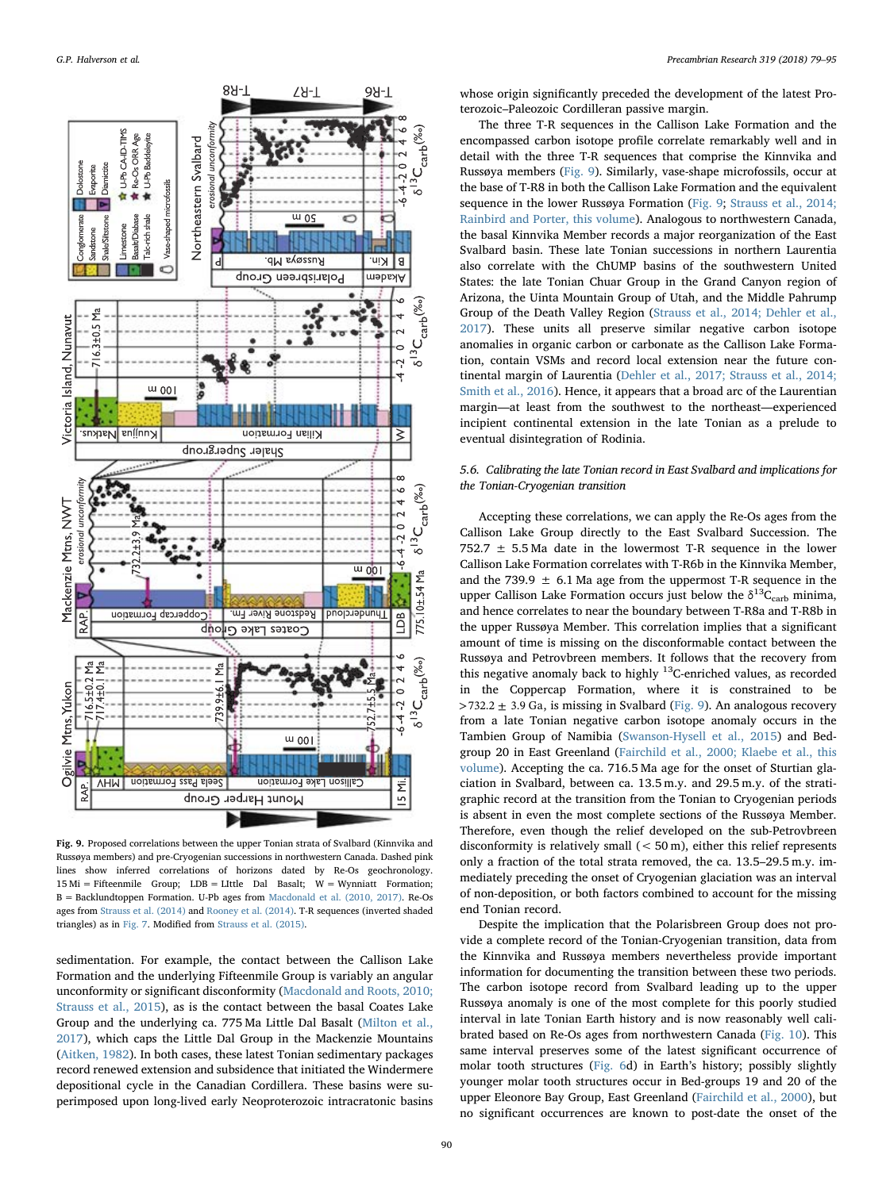<span id="page-11-0"></span>

Fig. 9. Proposed correlations between the upper Tonian strata of Svalbard (Kinnvika and Russøya members) and pre-Cryogenian successions in northwestern Canada. Dashed pink lines show inferred correlations of horizons dated by Re-Os geochronology. 15 Mi = Fifteenmile Group; LDB = LIttle Dal Basalt; W = Wynniatt Formation; B = Backlundtoppen Formation. U-Pb ages from [Macdonald et al. \(2010, 2017\).](#page-15-23) Re-Os ages from [Strauss et al. \(2014\)](#page-16-10) and [Rooney et al. \(2014\).](#page-15-43) T-R sequences (inverted shaded triangles) as in [Fig. 7](#page-8-0). Modified from [Strauss et al. \(2015\).](#page-16-13)

sedimentation. For example, the contact between the Callison Lake Formation and the underlying Fifteenmile Group is variably an angular unconformity or significant disconformity ([Macdonald and Roots, 2010;](#page-15-46) [Strauss et al., 2015](#page-15-46)), as is the contact between the basal Coates Lake Group and the underlying ca. 775 Ma Little Dal Basalt [\(Milton et al.,](#page-15-47) [2017\)](#page-15-47), which caps the Little Dal Group in the Mackenzie Mountains ([Aitken, 1982](#page-14-17)). In both cases, these latest Tonian sedimentary packages record renewed extension and subsidence that initiated the Windermere depositional cycle in the Canadian Cordillera. These basins were superimposed upon long-lived early Neoproterozoic intracratonic basins

whose origin significantly preceded the development of the latest Proterozoic–Paleozoic Cordilleran passive margin.

The three T-R sequences in the Callison Lake Formation and the encompassed carbon isotope profile correlate remarkably well and in detail with the three T-R sequences that comprise the Kinnvika and Russøya members ([Fig. 9](#page-11-0)). Similarly, vase-shape microfossils, occur at the base of T-R8 in both the Callison Lake Formation and the equivalent sequence in the lower Russøya Formation [\(Fig. 9;](#page-11-0) [Strauss et al., 2014;](#page-16-10) [Rainbird and Porter, this volume](#page-16-10)). Analogous to northwestern Canada, the basal Kinnvika Member records a major reorganization of the East Svalbard basin. These late Tonian successions in northern Laurentia also correlate with the ChUMP basins of the southwestern United States: the late Tonian Chuar Group in the Grand Canyon region of Arizona, the Uinta Mountain Group of Utah, and the Middle Pahrump Group of the Death Valley Region ([Strauss et al., 2014; Dehler et al.,](#page-16-10) [2017\)](#page-16-10). These units all preserve similar negative carbon isotope anomalies in organic carbon or carbonate as the Callison Lake Formation, contain VSMs and record local extension near the future continental margin of Laurentia ([Dehler et al., 2017; Strauss et al., 2014;](#page-14-18) [Smith et al., 2016](#page-14-18)). Hence, it appears that a broad arc of the Laurentian margin—at least from the southwest to the northeast—experienced incipient continental extension in the late Tonian as a prelude to eventual disintegration of Rodinia.

# 5.6. Calibrating the late Tonian record in East Svalbard and implications for the Tonian-Cryogenian transition

Accepting these correlations, we can apply the Re-Os ages from the Callison Lake Group directly to the East Svalbard Succession. The 752.7  $\pm$  5.5 Ma date in the lowermost T-R sequence in the lower Callison Lake Formation correlates with T-R6b in the Kinnvika Member, and the 739.9  $\pm$  6.1 Ma age from the uppermost T-R sequence in the upper Callison Lake Formation occurs just below the  $\delta^{13}C_{\text{carb}}$  minima, and hence correlates to near the boundary between T-R8a and T-R8b in the upper Russøya Member. This correlation implies that a significant amount of time is missing on the disconformable contact between the Russøya and Petrovbreen members. It follows that the recovery from this negative anomaly back to highly  $^{13}$ C-enriched values, as recorded in the Coppercap Formation, where it is constrained to be  $> 732.2 \pm 3.9$  Ga, is missing in Svalbard [\(Fig. 9](#page-11-0)). An analogous recovery from a late Tonian negative carbon isotope anomaly occurs in the Tambien Group of Namibia [\(Swanson-Hysell et al., 2015\)](#page-16-6) and Bedgroup 20 in East Greenland ([Fairchild et al., 2000; Klaebe et al., this](#page-14-19) [volume\)](#page-14-19). Accepting the ca. 716.5 Ma age for the onset of Sturtian glaciation in Svalbard, between ca. 13.5 m.y. and 29.5 m.y. of the stratigraphic record at the transition from the Tonian to Cryogenian periods is absent in even the most complete sections of the Russøya Member. Therefore, even though the relief developed on the sub-Petrovbreen disconformity is relatively small (< 50 m), either this relief represents only a fraction of the total strata removed, the ca. 13.5–29.5 m.y. immediately preceding the onset of Cryogenian glaciation was an interval of non-deposition, or both factors combined to account for the missing end Tonian record.

Despite the implication that the Polarisbreen Group does not provide a complete record of the Tonian-Cryogenian transition, data from the Kinnvika and Russøya members nevertheless provide important information for documenting the transition between these two periods. The carbon isotope record from Svalbard leading up to the upper Russøya anomaly is one of the most complete for this poorly studied interval in late Tonian Earth history and is now reasonably well calibrated based on Re-Os ages from northwestern Canada ([Fig. 10\)](#page-12-0). This same interval preserves some of the latest significant occurrence of molar tooth structures ([Fig. 6](#page-6-0)d) in Earth's history; possibly slightly younger molar tooth structures occur in Bed-groups 19 and 20 of the upper Eleonore Bay Group, East Greenland [\(Fairchild et al., 2000](#page-14-19)), but no significant occurrences are known to post-date the onset of the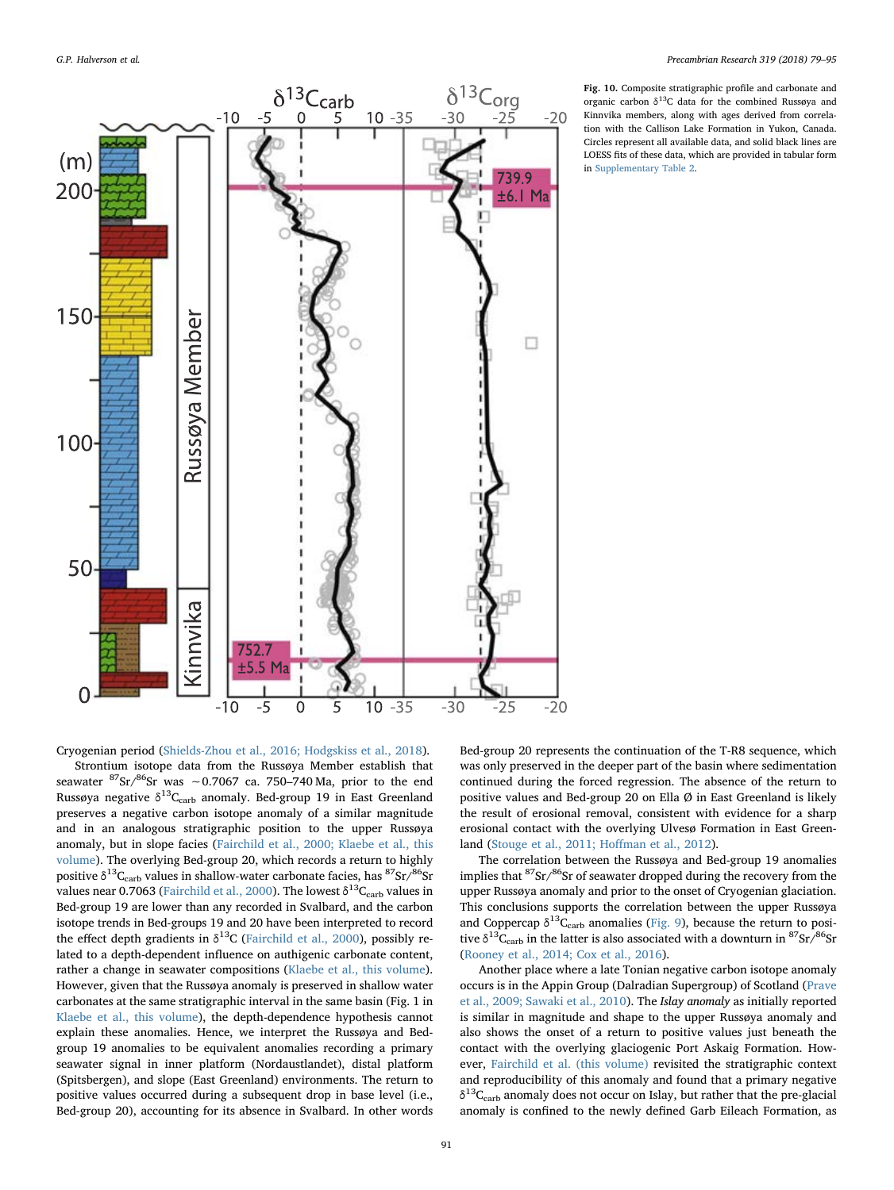<span id="page-12-0"></span>

Cryogenian period ([Shields-Zhou et al., 2016; Hodgskiss et al., 2018](#page-16-0)).

Strontium isotope data from the Russøya Member establish that seawater  ${}^{87}Sr/{}^{86}Sr$  was ~0.7067 ca. 750–740 Ma, prior to the end Russøya negative  $\delta^{13}C_{\rm carb}$  anomaly. Bed-group 19 in East Greenland preserves a negative carbon isotope anomaly of a similar magnitude and in an analogous stratigraphic position to the upper Russøya anomaly, but in slope facies ([Fairchild et al., 2000; Klaebe et al., this](#page-14-19) [volume\)](#page-14-19). The overlying Bed-group 20, which records a return to highly positive  $\delta^{13}C_{\rm carb}$  values in shallow-water carbonate facies, has  ${}^{87}Sr/{}^{86}Sr$ values near 0.7063 ([Fairchild et al., 2000\)](#page-14-19). The lowest  $\delta^{13}C_{\rm carb}$  values in Bed-group 19 are lower than any recorded in Svalbard, and the carbon isotope trends in Bed-groups 19 and 20 have been interpreted to record the effect depth gradients in  $\delta^{13}$ C ([Fairchild et al., 2000](#page-14-19)), possibly related to a depth-dependent influence on authigenic carbonate content, rather a change in seawater compositions [\(Klaebe et al., this volume](#page-15-48)). However, given that the Russøya anomaly is preserved in shallow water carbonates at the same stratigraphic interval in the same basin (Fig. 1 in [Klaebe et al., this volume](#page-15-48)), the depth-dependence hypothesis cannot explain these anomalies. Hence, we interpret the Russøya and Bedgroup 19 anomalies to be equivalent anomalies recording a primary seawater signal in inner platform (Nordaustlandet), distal platform (Spitsbergen), and slope (East Greenland) environments. The return to positive values occurred during a subsequent drop in base level (i.e., Bed-group 20), accounting for its absence in Svalbard. In other words

Fig. 10. Composite stratigraphic profile and carbonate and organic carbon  $\delta^{13}$ C data for the combined Russøya and Kinnvika members, along with ages derived from correlation with the Callison Lake Formation in Yukon, Canada. Circles represent all available data, and solid black lines are LOESS fits of these data, which are provided in tabular form in Supplementary Table 2.

Bed-group 20 represents the continuation of the T-R8 sequence, which was only preserved in the deeper part of the basin where sedimentation continued during the forced regression. The absence of the return to positive values and Bed-group 20 on Ella Ø in East Greenland is likely the result of erosional removal, consistent with evidence for a sharp erosional contact with the overlying Ulvesø Formation in East Greenland ([Stouge et al., 2011; Ho](#page-16-14)ffman et al., 2012).

The correlation between the Russøya and Bed-group 19 anomalies implies that <sup>87</sup>Sr/<sup>86</sup>Sr of seawater dropped during the recovery from the upper Russøya anomaly and prior to the onset of Cryogenian glaciation. This conclusions supports the correlation between the upper Russøya and Coppercap  $\delta^{13}C_{\rm carb}$  anomalies ([Fig. 9](#page-11-0)), because the return to positive  $\delta^{13}C_{\rm carb}$  in the latter is also associated with a downturn in  $\rm ^{87}Sr/^{86}Sr$ ([Rooney et al., 2014; Cox et al., 2016](#page-15-43)).

Another place where a late Tonian negative carbon isotope anomaly occurs is in the Appin Group (Dalradian Supergroup) of Scotland ([Prave](#page-15-41) [et al., 2009; Sawaki et al., 2010](#page-15-41)). The Islay anomaly as initially reported is similar in magnitude and shape to the upper Russøya anomaly and also shows the onset of a return to positive values just beneath the contact with the overlying glaciogenic Port Askaig Formation. However, [Fairchild et al. \(this volume\)](#page-14-20) revisited the stratigraphic context and reproducibility of this anomaly and found that a primary negative  $\delta^{13}C_{\text{carb}}$  anomaly does not occur on Islay, but rather that the pre-glacial anomaly is confined to the newly defined Garb Eileach Formation, as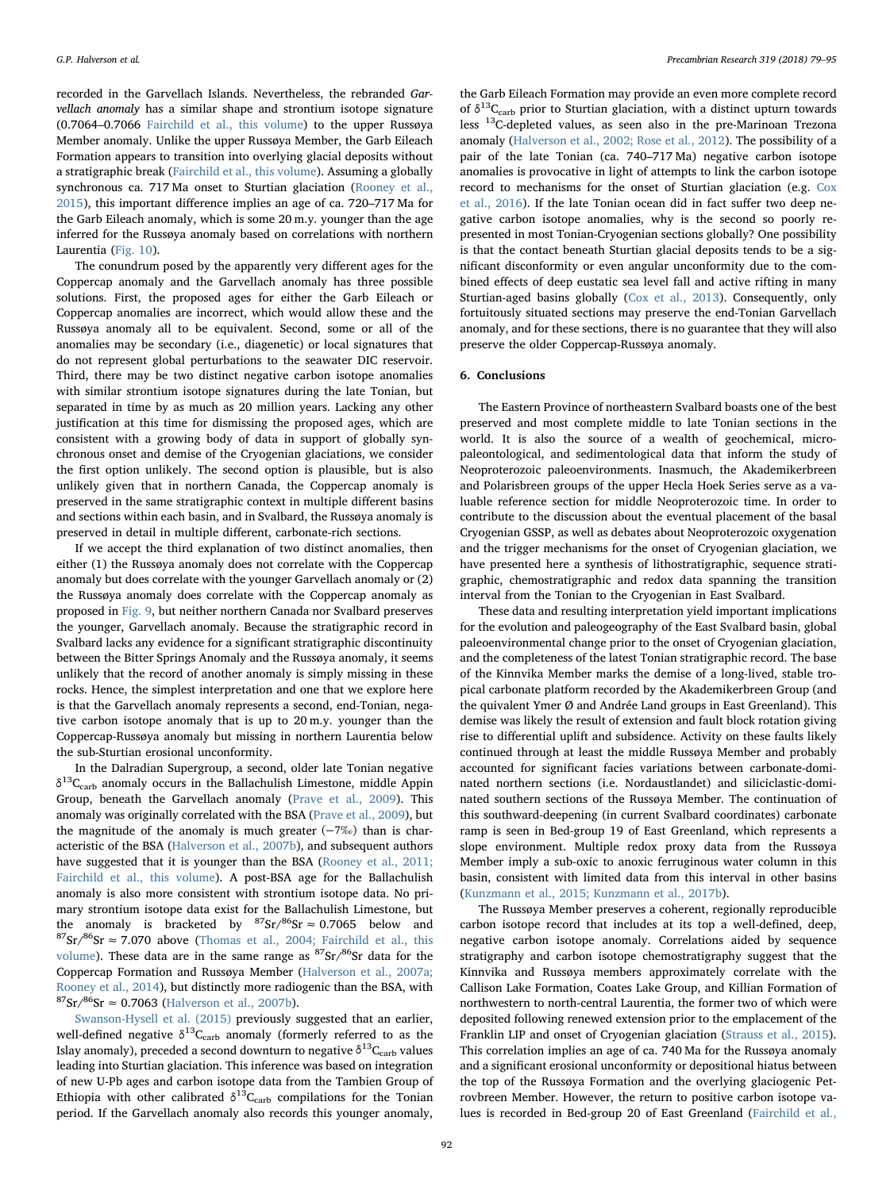recorded in the Garvellach Islands. Nevertheless, the rebranded Garvellach anomaly has a similar shape and strontium isotope signature (0.7064–0.7066 [Fairchild et al., this volume](#page-14-20)) to the upper Russøya Member anomaly. Unlike the upper Russøya Member, the Garb Eileach Formation appears to transition into overlying glacial deposits without a stratigraphic break [\(Fairchild et al., this volume\)](#page-14-20). Assuming a globally synchronous ca. 717 Ma onset to Sturtian glaciation ([Rooney et al.,](#page-15-49) [2015\)](#page-15-49), this important difference implies an age of ca. 720–717 Ma for the Garb Eileach anomaly, which is some 20 m.y. younger than the age inferred for the Russøya anomaly based on correlations with northern Laurentia ([Fig. 10\)](#page-12-0).

The conundrum posed by the apparently very different ages for the Coppercap anomaly and the Garvellach anomaly has three possible solutions. First, the proposed ages for either the Garb Eileach or Coppercap anomalies are incorrect, which would allow these and the Russøya anomaly all to be equivalent. Second, some or all of the anomalies may be secondary (i.e., diagenetic) or local signatures that do not represent global perturbations to the seawater DIC reservoir. Third, there may be two distinct negative carbon isotope anomalies with similar strontium isotope signatures during the late Tonian, but separated in time by as much as 20 million years. Lacking any other justification at this time for dismissing the proposed ages, which are consistent with a growing body of data in support of globally synchronous onset and demise of the Cryogenian glaciations, we consider the first option unlikely. The second option is plausible, but is also unlikely given that in northern Canada, the Coppercap anomaly is preserved in the same stratigraphic context in multiple different basins and sections within each basin, and in Svalbard, the Russøya anomaly is preserved in detail in multiple different, carbonate-rich sections.

If we accept the third explanation of two distinct anomalies, then either (1) the Russøya anomaly does not correlate with the Coppercap anomaly but does correlate with the younger Garvellach anomaly or (2) the Russøya anomaly does correlate with the Coppercap anomaly as proposed in [Fig. 9](#page-11-0), but neither northern Canada nor Svalbard preserves the younger, Garvellach anomaly. Because the stratigraphic record in Svalbard lacks any evidence for a significant stratigraphic discontinuity between the Bitter Springs Anomaly and the Russøya anomaly, it seems unlikely that the record of another anomaly is simply missing in these rocks. Hence, the simplest interpretation and one that we explore here is that the Garvellach anomaly represents a second, end-Tonian, negative carbon isotope anomaly that is up to 20 m.y. younger than the Coppercap-Russøya anomaly but missing in northern Laurentia below the sub-Sturtian erosional unconformity.

In the Dalradian Supergroup, a second, older late Tonian negative  $\delta^{13}\textrm{C}_{\textrm{carb}}$  anomaly occurs in the Ballachulish Limestone, middle Appin Group, beneath the Garvellach anomaly ([Prave et al., 2009\)](#page-15-41). This anomaly was originally correlated with the BSA ([Prave et al., 2009\)](#page-15-41), but the magnitude of the anomaly is much greater  $(-7\%)$  than is characteristic of the BSA ([Halverson et al., 2007b](#page-15-6)), and subsequent authors have suggested that it is younger than the BSA [\(Rooney et al., 2011;](#page-15-50) [Fairchild et al., this volume](#page-15-50)). A post-BSA age for the Ballachulish anomaly is also more consistent with strontium isotope data. No primary strontium isotope data exist for the Ballachulish Limestone, but the anomaly is bracketed by  ${}^{87}Sr/{}^{86}Sr \approx 0.7065$  below and  $87\text{Sr}/86\text{Sr} \approx 7.070$  above ([Thomas et al., 2004; Fairchild et al., this](#page-16-15) [volume\)](#page-16-15). These data are in the same range as  ${}^{87}Sr/{}^{86}Sr$  data for the Coppercap Formation and Russøya Member ([Halverson et al., 2007a;](#page-15-24) [Rooney et al., 2014](#page-15-24)), but distinctly more radiogenic than the BSA, with  ${}^{87}Sr/{}^{86}Sr \approx 0.7063$  ([Halverson et al., 2007b](#page-15-6)).

[Swanson-Hysell et al. \(2015\)](#page-16-6) previously suggested that an earlier, well-defined negative  $\delta^{13}C_{\rm carb}$  anomaly (formerly referred to as the Islay anomaly), preceded a second downturn to negative  $\delta^{13}C_{\text{carb}}$  values leading into Sturtian glaciation. This inference was based on integration of new U-Pb ages and carbon isotope data from the Tambien Group of Ethiopia with other calibrated  $\delta^{13}C_{\rm carb}$  compilations for the Tonian period. If the Garvellach anomaly also records this younger anomaly,

the Garb Eileach Formation may provide an even more complete record of  $\delta^{13}C_{\text{carb}}$  prior to Sturtian glaciation, with a distinct upturn towards less 13C-depleted values, as seen also in the pre-Marinoan Trezona anomaly [\(Halverson et al., 2002; Rose et al., 2012](#page-15-39)). The possibility of a pair of the late Tonian (ca. 740–717 Ma) negative carbon isotope anomalies is provocative in light of attempts to link the carbon isotope record to mechanisms for the onset of Sturtian glaciation (e.g. [Cox](#page-14-0) [et al., 2016](#page-14-0)). If the late Tonian ocean did in fact suffer two deep negative carbon isotope anomalies, why is the second so poorly represented in most Tonian-Cryogenian sections globally? One possibility is that the contact beneath Sturtian glacial deposits tends to be a significant disconformity or even angular unconformity due to the combined effects of deep eustatic sea level fall and active rifting in many Sturtian-aged basins globally ([Cox et al., 2013](#page-14-21)). Consequently, only fortuitously situated sections may preserve the end-Tonian Garvellach anomaly, and for these sections, there is no guarantee that they will also preserve the older Coppercap-Russøya anomaly.

#### 6. Conclusions

The Eastern Province of northeastern Svalbard boasts one of the best preserved and most complete middle to late Tonian sections in the world. It is also the source of a wealth of geochemical, micropaleontological, and sedimentological data that inform the study of Neoproterozoic paleoenvironments. Inasmuch, the Akademikerbreen and Polarisbreen groups of the upper Hecla Hoek Series serve as a valuable reference section for middle Neoproterozoic time. In order to contribute to the discussion about the eventual placement of the basal Cryogenian GSSP, as well as debates about Neoproterozoic oxygenation and the trigger mechanisms for the onset of Cryogenian glaciation, we have presented here a synthesis of lithostratigraphic, sequence stratigraphic, chemostratigraphic and redox data spanning the transition interval from the Tonian to the Cryogenian in East Svalbard.

These data and resulting interpretation yield important implications for the evolution and paleogeography of the East Svalbard basin, global paleoenvironmental change prior to the onset of Cryogenian glaciation, and the completeness of the latest Tonian stratigraphic record. The base of the Kinnvika Member marks the demise of a long-lived, stable tropical carbonate platform recorded by the Akademikerbreen Group (and the quivalent Ymer Ø and Andrée Land groups in East Greenland). This demise was likely the result of extension and fault block rotation giving rise to differential uplift and subsidence. Activity on these faults likely continued through at least the middle Russøya Member and probably accounted for significant facies variations between carbonate-dominated northern sections (i.e. Nordaustlandet) and siliciclastic-dominated southern sections of the Russøya Member. The continuation of this southward-deepening (in current Svalbard coordinates) carbonate ramp is seen in Bed-group 19 of East Greenland, which represents a slope environment. Multiple redox proxy data from the Russøya Member imply a sub-oxic to anoxic ferruginous water column in this basin, consistent with limited data from this interval in other basins ([Kunzmann et al., 2015; Kunzmann et al., 2017b](#page-15-26)).

The Russøya Member preserves a coherent, regionally reproducible carbon isotope record that includes at its top a well-defined, deep, negative carbon isotope anomaly. Correlations aided by sequence stratigraphy and carbon isotope chemostratigraphy suggest that the Kinnvika and Russøya members approximately correlate with the Callison Lake Formation, Coates Lake Group, and Killian Formation of northwestern to north-central Laurentia, the former two of which were deposited following renewed extension prior to the emplacement of the Franklin LIP and onset of Cryogenian glaciation ([Strauss et al., 2015](#page-16-13)). This correlation implies an age of ca. 740 Ma for the Russøya anomaly and a significant erosional unconformity or depositional hiatus between the top of the Russøya Formation and the overlying glaciogenic Petrovbreen Member. However, the return to positive carbon isotope values is recorded in Bed-group 20 of East Greenland ([Fairchild et al.,](#page-14-19)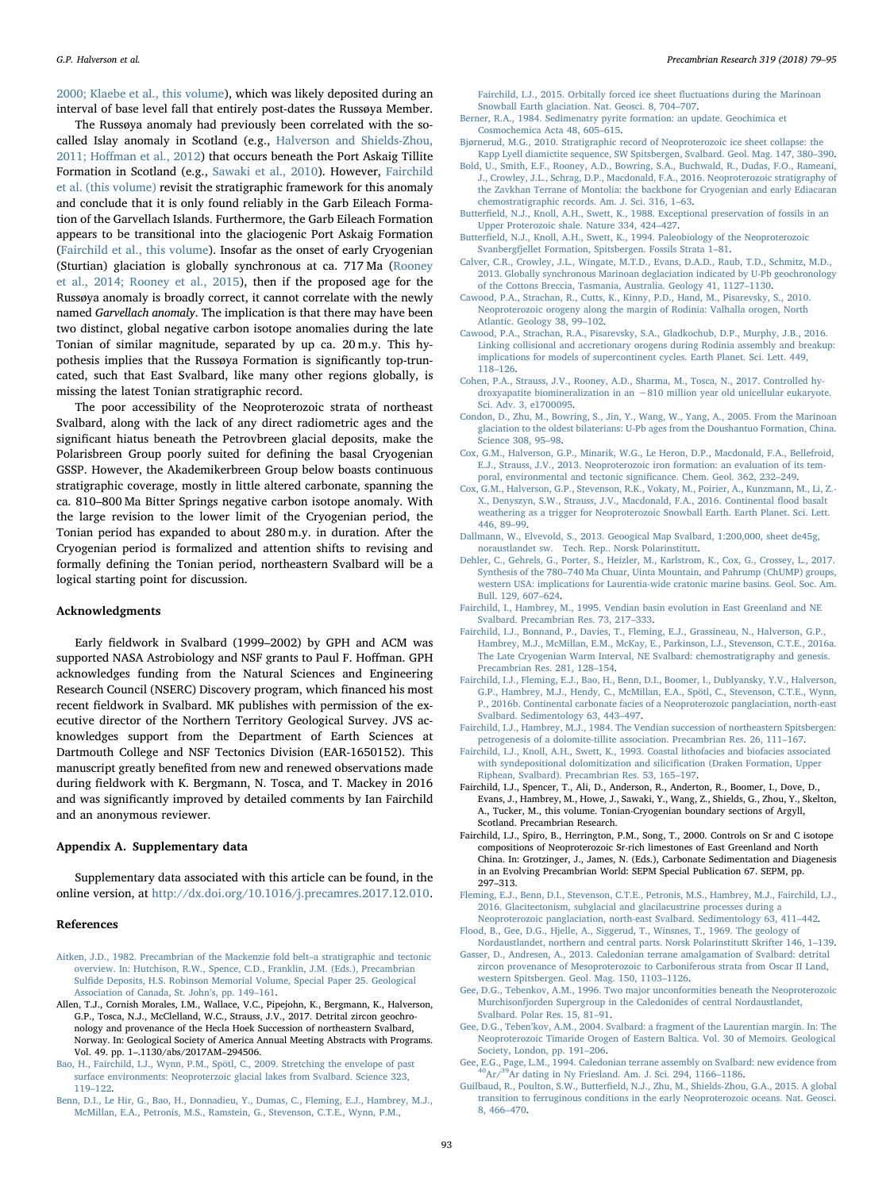[2000; Klaebe et al., this volume](#page-14-19)), which was likely deposited during an interval of base level fall that entirely post-dates the Russøya Member.

The Russøya anomaly had previously been correlated with the socalled Islay anomaly in Scotland (e.g., [Halverson and Shields-Zhou,](#page-15-51) 2011; Hoff[man et al., 2012\)](#page-15-51) that occurs beneath the Port Askaig Tillite Formation in Scotland (e.g., [Sawaki et al., 2010\)](#page-16-16). However, [Fairchild](#page-14-20) [et al. \(this volume\)](#page-14-20) revisit the stratigraphic framework for this anomaly and conclude that it is only found reliably in the Garb Eileach Formation of the Garvellach Islands. Furthermore, the Garb Eileach Formation appears to be transitional into the glaciogenic Port Askaig Formation ([Fairchild et al., this volume\)](#page-14-20). Insofar as the onset of early Cryogenian (Sturtian) glaciation is globally synchronous at ca. 717 Ma [\(Rooney](#page-15-43) [et al., 2014; Rooney et al., 2015\)](#page-15-43), then if the proposed age for the Russøya anomaly is broadly correct, it cannot correlate with the newly named Garvellach anomaly. The implication is that there may have been two distinct, global negative carbon isotope anomalies during the late Tonian of similar magnitude, separated by up ca. 20 m.y. This hypothesis implies that the Russøya Formation is significantly top-truncated, such that East Svalbard, like many other regions globally, is missing the latest Tonian stratigraphic record.

The poor accessibility of the Neoproterozoic strata of northeast Svalbard, along with the lack of any direct radiometric ages and the significant hiatus beneath the Petrovbreen glacial deposits, make the Polarisbreen Group poorly suited for defining the basal Cryogenian GSSP. However, the Akademikerbreen Group below boasts continuous stratigraphic coverage, mostly in little altered carbonate, spanning the ca. 810–800 Ma Bitter Springs negative carbon isotope anomaly. With the large revision to the lower limit of the Cryogenian period, the Tonian period has expanded to about 280 m.y. in duration. After the Cryogenian period is formalized and attention shifts to revising and formally defining the Tonian period, northeastern Svalbard will be a logical starting point for discussion.

#### Acknowledgments

Early fieldwork in Svalbard (1999–2002) by GPH and ACM was supported NASA Astrobiology and NSF grants to Paul F. Hoffman. GPH acknowledges funding from the Natural Sciences and Engineering Research Council (NSERC) Discovery program, which financed his most recent fieldwork in Svalbard. MK publishes with permission of the executive director of the Northern Territory Geological Survey. JVS acknowledges support from the Department of Earth Sciences at Dartmouth College and NSF Tectonics Division (EAR-1650152). This manuscript greatly benefited from new and renewed observations made during fieldwork with K. Bergmann, N. Tosca, and T. Mackey in 2016 and was significantly improved by detailed comments by Ian Fairchild and an anonymous reviewer.

#### Appendix A. Supplementary data

Supplementary data associated with this article can be found, in the online version, at http://dx.doi.org/10.1016/j.precamres.2017.12.010.

## References

- <span id="page-14-17"></span>Aitken, J.D., 1982. Precambrian of the Mackenzie fold belt–a stratigraphic and tectonic overview. In: Hutchison, R.W., Spence, C.D., Franklin, J.M. (Eds.), Precambrian Sulfide Deposits, H.S. Robinson Memorial Volume, Special Paper 25. Geological Association of Canada, St. John's, pp. 149–161.
- Allen, T.J., Cornish Morales, I.M., Wallace, V.C., Pipejohn, K., Bergmann, K., Halverson, G.P., Tosca, N.J., McClelland, W.C., Strauss, J.V., 2017. Detrital zircon geochronology and provenance of the Hecla Hoek Succession of northeastern Svalbard, Norway. In: Geological Society of America Annual Meeting Abstracts with Programs. Vol. 49. pp. 1–.1130/abs/2017AM–294506.
- <span id="page-14-12"></span>Bao, H., Fairchild, I.J., Wynn, P.M., Spötl, C., 2009. Stretching the envelope of past surface environments: Neoproterzoic glacial lakes from Svalbard. Science 323, 119–122.
- Benn, D.I., Le Hir, G., Bao, H., Donnadieu, Y., Dumas, C., Fleming, E.J., Hambrey, M.J., McMillan, E.A., Petronis, M.S., Ramstein, G., Stevenson, C.T.E., Wynn, P.M.,

Fairchild, I.J., 2015. Orbitally forced ice sheet fluctuations during the Marinoan Snowball Earth glaciation. Nat. Geosci. 8, 704–707.

- <span id="page-14-14"></span>Berner, R.A., 1984. Sedimenatry pyrite formation: an update. Geochimica et Cosmochemica Acta 48, 605–615.
- Bjørnerud, M.G., 2010. Stratigraphic record of Neoproterozoic ice sheet collapse: the Kapp Lyell diamictite sequence, SW Spitsbergen, Svalbard. Geol. Mag. 147, 380–390.
- Bold, U., Smith, E.F., Rooney, A.D., Bowring, S.A., Buchwald, R., Dudas, F.O., Rameani, J., Crowley, J.L., Schrag, D.P., Macdonald, F.A., 2016. Neoproterozoic stratigraphy of the Zavkhan Terrane of Montolia: the backbone for Cryogenian and early Ediacaran chemostratigraphic records. Am. J. Sci. 316, 1–63.
- <span id="page-14-16"></span>Butterfield, N.J., Knoll, A.H., Swett, K., 1988. Exceptional preservation of fossils in an Upper Proterozoic shale. Nature 334, 424–427.
- <span id="page-14-7"></span>Butterfield, N.J., Knoll, A.H., Swett, K., 1994. Paleobiology of the Neoproterozoic Svanbergfjellet Formation, Spitsbergen. Fossils Strata 1–81.
- Calver, C.R., Crowley, J.L., Wingate, M.T.D., Evans, D.A.D., Raub, T.D., Schmitz, M.D., 2013. Globally synchronous Marinoan deglaciation indicated by U-Pb geochronology of the Cottons Breccia, Tasmania, Australia. Geology 41, 1127–1130.
- <span id="page-14-2"></span>Cawood, P.A., Strachan, R., Cutts, K., Kinny, P.D., Hand, M., Pisarevsky, S., 2010. Neoproterozoic orogeny along the margin of Rodinia: Valhalla orogen, North Atlantic. Geology 38, 99–102.
- Cawood, P.A., Strachan, R.A., Pisarevsky, S.A., Gladkochub, D.P., Murphy, J.B., 2016. Linking collisional and accretionary orogens during Rodinia assembly and breakup: implications for models of supercontinent cycles. Earth Planet. Sci. Lett. 449, 118–126.
- <span id="page-14-13"></span>Cohen, P.A., Strauss, J.V., Rooney, A.D., Sharma, M., Tosca, N., 2017. Controlled hydroxyapatite biomineralization in an ∼810 million year old unicellular eukaryote. Sci. Adv. 3, e1700095.
- Condon, D., Zhu, M., Bowring, S., Jin, Y., Wang, W., Yang, A., 2005. From the Marinoan glaciation to the oldest bilaterians: U-Pb ages from the Doushantuo Formation, China. Science 308, 95–98.
- <span id="page-14-21"></span>Cox, G.M., Halverson, G.P., Minarik, W.G., Le Heron, D.P., Macdonald, F.A., Bellefroid, E.J., Strauss, J.V., 2013. Neoproterozoic iron formation: an evaluation of its temporal, environmental and tectonic significance. Chem. Geol. 362, 232–249.
- <span id="page-14-0"></span>Cox, G.M., Halverson, G.P., Stevenson, R.K., Vokaty, M., Poirier, A., Kunzmann, M., Li, Z.- X., Denyszyn, S.W., Strauss, J.V., Macdonald, F.A., 2016. Continental flood basalt weathering as a trigger for Neoproterozoic Snowball Earth. Earth Planet. Sci. Lett. 446, 89–99.
- <span id="page-14-5"></span>Dallmann, W., Elvevold, S., 2013. Geoogical Map Svalbard, 1:200,000, sheet de45g, noraustlandet sw. Tech. Rep.. Norsk Polarinstitutt.
- <span id="page-14-18"></span>Dehler, C., Gehrels, G., Porter, S., Heizler, M., Karlstrom, K., Cox, G., Crossey, L., 2017. Synthesis of the 780–740 Ma Chuar, Uinta Mountain, and Pahrump (ChUMP) groups, western USA: implications for Laurentia-wide cratonic marine basins. Geol. Soc. Am. Bull. 129, 607–624.
- <span id="page-14-4"></span>Fairchild, I., Hambrey, M., 1995. Vendian basin evolution in East Greenland and NE Svalbard. Precambrian Res. 73, 217–333.
- <span id="page-14-8"></span>Fairchild, I.J., Bonnand, P., Davies, T., Fleming, E.J., Grassineau, N., Halverson, G.P., Hambrey, M.J., McMillan, E.M., McKay, E., Parkinson, I.J., Stevenson, C.T.E., 2016a. The Late Cryogenian Warm Interval, NE Svalbard: chemostratigraphy and genesis. Precambrian Res. 281, 128–154.
- <span id="page-14-11"></span>Fairchild, I.J., Fleming, E.J., Bao, H., Benn, D.I., Boomer, I., Dublyansky, Y.V., Halverson, G.P., Hambrey, M.J., Hendy, C., McMillan, E.A., Spötl, C., Stevenson, C.T.E., Wynn, P., 2016b. Continental carbonate facies of a Neoproterozoic panglaciation, north-east Svalbard. Sedimentology 63, 443–497.
- <span id="page-14-9"></span>Fairchild, I.J., Hambrey, M.J., 1984. The Vendian succession of northeastern Spitsbergen: petrogenesis of a dolomite-tillite association. Precambrian Res. 26, 111–167.
- Fairchild, I.J., Knoll, A.H., Swett, K., 1993. Coastal lithofacies and biofacies associated with syndepositional dolomitization and silicification (Draken Formation, Upper Riphean, Svalbard). Precambrian Res. 53, 165–197.
- <span id="page-14-20"></span>Fairchild, I.J., Spencer, T., Ali, D., Anderson, R., Anderton, R., Boomer, I., Dove, D., Evans, J., Hambrey, M., Howe, J., Sawaki, Y., Wang, Z., Shields, G., Zhou, Y., Skelton, A., Tucker, M., this volume. Tonian-Cryogenian boundary sections of Argyll, Scotland. Precambrian Research.
- <span id="page-14-19"></span>Fairchild, I.J., Spiro, B., Herrington, P.M., Song, T., 2000. Controls on Sr and C isotope compositions of Neoproterozoic Sr-rich limestones of East Greenland and North China. In: Grotzinger, J., James, N. (Eds.), Carbonate Sedimentation and Diagenesis in an Evolving Precambrian World: SEPM Special Publication 67. SEPM, pp. 297–313.
- <span id="page-14-10"></span>Fleming, E.J., Benn, D.I., Stevenson, C.T.E., Petronis, M.S., Hambrey, M.J., Fairchild, I.J., 2016. Glacitectonism, subglacial and glacilacustrine processes during a Neoproterozoic panglaciation, north-east Svalbard. Sedimentology 63, 411–442.
- <span id="page-14-3"></span>Flood, B., Gee, D.G., Hjelle, A., Siggerud, T., Winsnes, T., 1969. The geology of Nordaustlandet, northern and central parts. Norsk Polarinstitutt Skrifter 146, 1–139.
- <span id="page-14-1"></span>Gasser, D., Andresen, A., 2013. Caledonian terrane amalgamation of Svalbard: detrital zircon provenance of Mesoproterozoic to Carboniferous strata from Oscar II Land, western Spitsbergen. Geol. Mag. 150, 1103–1126.
- <span id="page-14-6"></span>Gee, D.G., Tebenkov, A.M., 1996. Two major unconformities beneath the Neoproterozoic Murchisonfjorden Supergroup in the Caledonides of central Nordaustlandet, Svalbard. Polar Res. 15, 81–91.
- Gee, D.G., Teben'kov, A.M., 2004. Svalbard: a fragment of the Laurentian margin. In: The Neoproterozoic Timaride Orogen of Eastern Baltica. Vol. 30 of Memoirs. Geological Society, London, pp. 191–206.
- Gee, E.G., Page, L.M., 1994. Caledonian terrane assembly on Svalbard: new evidence from 40Ar/39Ar dating in Ny Friesland. Am. J. Sci. 294, 1166–1186.
- <span id="page-14-15"></span>Guilbaud, R., Poulton, S.W., Butterfield, N.J., Zhu, M., Shields-Zhou, G.A., 2015. A global transition to ferruginous conditions in the early Neoproterozoic oceans. Nat. Geosci. 8, 466–470.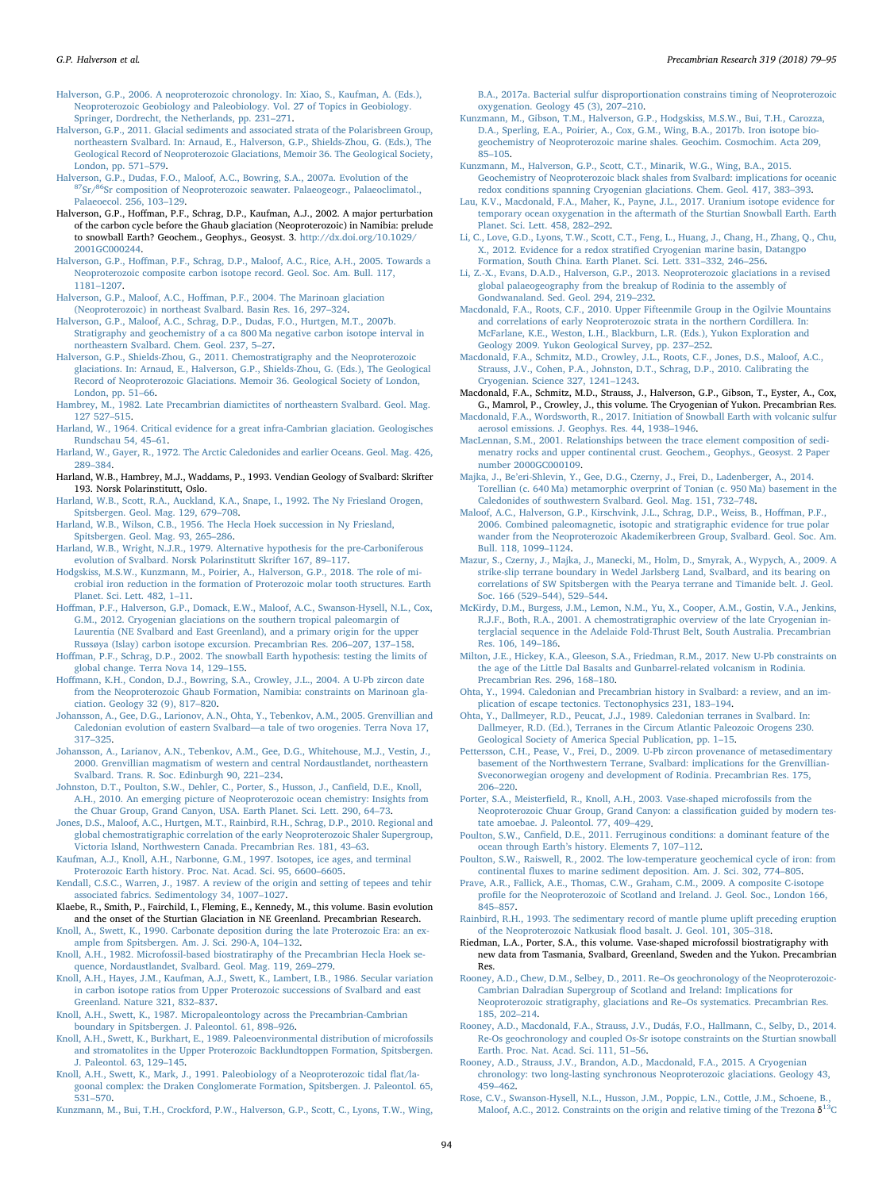<span id="page-15-42"></span>Halverson, G.P., 2006. A neoproterozoic chronology. In: Xiao, S., Kaufman, A. (Eds.), Neoproterozoic Geobiology and Paleobiology. Vol. 27 of Topics in Geobiology. Springer, Dordrecht, the Netherlands, pp. 231–271.

- <span id="page-15-9"></span>Halverson, G.P., 2011. Glacial sediments and associated strata of the Polarisbreen Group, northeastern Svalbard. In: Arnaud, E., Halverson, G.P., Shields-Zhou, G. (Eds.), The Geological Record of Neoproterozoic Glaciations, Memoir 36. The Geological Society, London, pp. 571–579.<br>Halverson, G.P., Dudas, F.O., Maloof, A.C., Bowring, S.A., 2007a. Evolution of the
- <span id="page-15-24"></span><sup>87</sup>Sr/<sup>86</sup>Sr composition of Neoproterozoic seawater. Palaeogeogr., Palaeoclimatol. Palaeoecol. 256, 103–129.
- <span id="page-15-39"></span>Halverson, G.P., Hoffman, P.F., Schrag, D.P., Kaufman, A.J., 2002. A major perturbation of the carbon cycle before the Ghaub glaciation (Neoproterozoic) in Namibia: prelude to snowball Earth? Geochem., Geophys., Geosyst. 3. http://dx.doi.org/10.1029/ 2001GC000244.
- <span id="page-15-5"></span>Halverson, G.P., Hoffman, P.F., Schrag, D.P., Maloof, A.C., Rice, A.H., 2005. Towards a Neoproterozoic composite carbon isotope record. Geol. Soc. Am. Bull. 117, 1181–1207.
- <span id="page-15-16"></span>Halverson, G.P., Maloof, A.C., Hoffman, P.F., 2004. The Marinoan glaciation (Neoproterozoic) in northeast Svalbard. Basin Res. 16, 297–324.

<span id="page-15-6"></span>Halverson, G.P., Maloof, A.C., Schrag, D.P., Dudas, F.O., Hurtgen, M.T., 2007b. Stratigraphy and geochemistry of a ca 800 Ma negative carbon isotope interval in northeastern Svalbard. Chem. Geol. 237, 5–27.

- <span id="page-15-51"></span>Halverson, G.P., Shields-Zhou, G., 2011. Chemostratigraphy and the Neoproterozoic glaciations. In: Arnaud, E., Halverson, G.P., Shields-Zhou, G. (Eds.), The Geological Record of Neoproterozoic Glaciations. Memoir 36. Geological Society of London, London, pp. 51–66.
- <span id="page-15-20"></span>Hambrey, M., 1982. Late Precambrian diamictites of northeastern Svalbard. Geol. Mag. 127 527–515.
- <span id="page-15-3"></span>Harland, W., 1964. Critical evidence for a great infra-Cambrian glaciation. Geologisches Rundschau 54, 45–61.
- <span id="page-15-11"></span>Harland, W., Gayer, R., 1972. The Arctic Caledonides and earlier Oceans. Geol. Mag. 426, 289–384.
- <span id="page-15-1"></span>Harland, W.B., Hambrey, M.J., Waddams, P., 1993. Vendian Geology of Svalbard: Skrifter 193. Norsk Polarinstitutt, Oslo.
- <span id="page-15-0"></span>Harland, W.B., Scott, R.A., Auckland, K.A., Snape, I., 1992. The Ny Friesland Orogen, Spitsbergen. Geol. Mag. 129, 679–708.
- <span id="page-15-4"></span>Harland, W.B., Wilson, C.B., 1956. The Hecla Hoek succession in Ny Friesland, Spitsbergen. Geol. Mag. 93, 265–286.
- <span id="page-15-12"></span>Harland, W.B., Wright, N.J.R., 1979. Alternative hypothesis for the pre-Carboniferous evolution of Svalbard. Norsk Polarinstitutt Skrifter 167, 89–117.
- Hodgskiss, M.S.W., Kunzmann, M., Poirier, A., Halverson, G.P., 2018. The role of microbial iron reduction in the formation of Proterozoic molar tooth structures. Earth Planet. Sci. Lett. 482, 1–11.
- <span id="page-15-7"></span>Hoffman, P.F., Halverson, G.P., Domack, E.W., Maloof, A.C., Swanson-Hysell, N.L., Cox, G.M., 2012. Cryogenian glaciations on the southern tropical paleomargin of Laurentia (NE Svalbard and East Greenland), and a primary origin for the upper Russøya (Islay) carbon isotope excursion. Precambrian Res. 206–207, 137–158.
- <span id="page-15-40"></span>Hoffman, P.F., Schrag, D.P., 2002. The snowball Earth hypothesis: testing the limits of global change. Terra Nova 14, 129–155.
- <span id="page-15-8"></span>Hoffmann, K.H., Condon, D.J., Bowring, S.A., Crowley, J.L., 2004. A U-Pb zircon date from the Neoproterozoic Ghaub Formation, Namibia: constraints on Marinoan glaciation. Geology 32 (9), 817–820.
- <span id="page-15-14"></span>Johansson, A., Gee, D.G., Larionov, A.N., Ohta, Y., Tebenkov, A.M., 2005. Grenvillian and Caledonian evolution of eastern Svalbard—a tale of two orogenies. Terra Nova 17, 317–325.
- <span id="page-15-22"></span>Johansson, A., Larianov, A.N., Tebenkov, A.M., Gee, D.G., Whitehouse, M.J., Vestin, J., 2000. Grenvillian magmatism of western and central Nordaustlandet, northeastern Svalbard. Trans. R. Soc. Edinburgh 90, 221–234.
- <span id="page-15-31"></span>Johnston, D.T., Poulton, S.W., Dehler, C., Porter, S., Husson, J., Canfield, D.E., Knoll, A.H., 2010. An emerging picture of Neoproterozoic ocean chemistry: Insights from the Chuar Group, Grand Canyon, USA. Earth Planet. Sci. Lett. 290, 64–73.
- <span id="page-15-44"></span>Jones, D.S., Maloof, A.C., Hurtgen, M.T., Rainbird, R.H., Schrag, D.P., 2010. Regional and global chemostratigraphic correlation of the early Neoproterozoic Shaler Supergroup, Victoria Island, Northwestern Canada. Precambrian Res. 181, 43–63.
- Kaufman, A.J., Knoll, A.H., Narbonne, G.M., 1997. Isotopes, ice ages, and terminal Proterozoic Earth history. Proc. Nat. Acad. Sci. 95, 6600–6605.
- <span id="page-15-25"></span>Kendall, C.S.C., Warren, J., 1987. A review of the origin and setting of tepees and tehir associated fabrics. Sedimentology 34, 1007–1027.
- <span id="page-15-48"></span>Klaebe, R., Smith, P., Fairchild, I., Fleming, E., Kennedy, M., this volume. Basin evolution and the onset of the Sturtian Glaciation in NE Greenland. Precambrian Research.
- <span id="page-15-17"></span>Knoll, A., Swett, K., 1990. Carbonate deposition during the late Proterozoic Era: an example from Spitsbergen. Am. J. Sci. 290-A, 104–132.
- <span id="page-15-37"></span>Knoll, A.H., 1982. Microfossil-based biostratiraphy of the Precambrian Hecla Hoek sequence, Nordaustlandet, Svalbard. Geol. Mag. 119, 269–279.
- Knoll, A.H., Hayes, J.M., Kaufman, A.J., Swett, K., Lambert, I.B., 1986. Secular variation in carbon isotope ratios from Upper Proterozoic successions of Svalbard and east Greenland. Nature 321, 832–837.
- <span id="page-15-21"></span>Knoll, A.H., Swett, K., 1987. Micropaleontology across the Precambrian-Cambrian boundary in Spitsbergen. J. Paleontol. 61, 898–926.
- <span id="page-15-19"></span>Knoll, A.H., Swett, K., Burkhart, E., 1989. Paleoenvironmental distribution of microfossils and stromatolites in the Upper Proterozoic Backlundtoppen Formation, Spitsbergen. J. Paleontol. 63, 129–145.
- <span id="page-15-35"></span>Knoll, A.H., Swett, K., Mark, J., 1991. Paleobiology of a Neoproterozoic tidal flat/lagoonal complex: the Draken Conglomerate Formation, Spitsbergen. J. Paleontol. 65, 531–570.

<span id="page-15-32"></span>Kunzmann, M., Bui, T.H., Crockford, P.W., Halverson, G.P., Scott, C., Lyons, T.W., Wing,

B.A., 2017a. Bacterial sulfur disproportionation constrains timing of Neoproterozoic oxygenation. Geology 45 (3), 207–210.

- <span id="page-15-27"></span>Kunzmann, M., Gibson, T.M., Halverson, G.P., Hodgskiss, M.S.W., Bui, T.H., Carozza, D.A., Sperling, E.A., Poirier, A., Cox, G.M., Wing, B.A., 2017b. Iron isotope biogeochemistry of Neoproterozoic marine shales. Geochim. Cosmochim. Acta 209, 85–105.
- <span id="page-15-26"></span>Kunzmann, M., Halverson, G.P., Scott, C.T., Minarik, W.G., Wing, B.A., 2015. Geochemistry of Neoproterozoic black shales from Svalbard: implications for oceanic redox conditions spanning Cryogenian glaciations. Chem. Geol. 417, 383–393.
- <span id="page-15-34"></span>Lau, K.V., Macdonald, F.A., Maher, K., Payne, J.L., 2017. Uranium isotope evidence for temporary ocean oxygenation in the aftermath of the Sturtian Snowball Earth. Earth Planet. Sci. Lett. 458, 282–292.
- <span id="page-15-33"></span>Li, C., Love, G.D., Lyons, T.W., Scott, C.T., Feng, L., Huang, J., Chang, H., Zhang, Q., Chu, X., 2012. Evidence for a redox stratified Cryogenian marine basin, Datangpo Formation, South China. Earth Planet. Sci. Lett. 331–332, 246–256.
- <span id="page-15-18"></span>Li, Z.-X., Evans, D.A.D., Halverson, G.P., 2013. Neoproterozoic glaciations in a revised global palaeogeography from the breakup of Rodinia to the assembly of Gondwanaland. Sed. Geol. 294, 219–232.
- <span id="page-15-46"></span>Macdonald, F.A., Roots, C.F., 2010. Upper Fifteenmile Group in the Ogilvie Mountains and correlations of early Neoproterozoic strata in the northern Cordillera. In: McFarlane, K.E., Weston, L.H., Blackburn, L.R. (Eds.), Yukon Exploration and Geology 2009. Yukon Geological Survey, pp. 237–252.
- <span id="page-15-23"></span>Macdonald, F.A., Schmitz, M.D., Crowley, J.L., Roots, C.F., Jones, D.S., Maloof, A.C., Strauss, J.V., Cohen, P.A., Johnston, D.T., Schrag, D.P., 2010. Calibrating the Cryogenian. Science 327, 1241–1243.
- Macdonald, F.A., Schmitz, M.D., Strauss, J., Halverson, G.P., Gibson, T., Eyster, A., Cox, G., Mamrol, P., Crowley, J., this volume. The Cryogenian of Yukon. Precambrian Res.

Macdonald, F.A., Wordsworth, R., 2017. Initiation of Snowball Earth with volcanic sulfur aerosol emissions. J. Geophys. Res. 44, 1938–1946.

- <span id="page-15-30"></span>MacLennan, S.M., 2001. Relationships between the trace element composition of sedimenatry rocks and upper continental crust. Geochem., Geophys., Geosyst. 2 Paper number 2000GC000109.
- Majka, J., Be'eri-Shlevin, Y., Gee, D.G., Czerny, J., Frei, D., Ladenberger, A., 2014. Torellian (c. 640 Ma) metamorphic overprint of Tonian (c. 950 Ma) basement in the Caledonides of southwestern Svalbard. Geol. Mag. 151, 732–748.
- <span id="page-15-15"></span>Maloof, A.C., Halverson, G.P., Kirschvink, J.L., Schrag, D.P., Weiss, B., Hoffman, P.F., 2006. Combined paleomagnetic, isotopic and stratigraphic evidence for true polar wander from the Neoproterozoic Akademikerbreen Group, Svalbard. Geol. Soc. Am. Bull. 118, 1099–1124.
- <span id="page-15-10"></span>Mazur, S., Czerny, J., Majka, J., Manecki, M., Holm, D., Smyrak, A., Wypych, A., 2009. A strike-slip terrane boundary in Wedel Jarlsberg Land, Svalbard, and its bearing on correlations of SW Spitsbergen with the Pearya terrane and Timanide belt. J. Geol. Soc. 166 (529–544), 529–544.
- <span id="page-15-38"></span>McKirdy, D.M., Burgess, J.M., Lemon, N.M., Yu, X., Cooper, A.M., Gostin, V.A., Jenkins, R.J.F., Both, R.A., 2001. A chemostratigraphic overview of the late Cryogenian interglacial sequence in the Adelaide Fold-Thrust Belt, South Australia. Precambrian Res. 106, 149–186.
- <span id="page-15-47"></span>Milton, J.E., Hickey, K.A., Gleeson, S.A., Friedman, R.M., 2017. New U-Pb constraints on the age of the Little Dal Basalts and Gunbarrel-related volcanism in Rodinia. Precambrian Res. 296, 168–180.
- <span id="page-15-13"></span>Ohta, Y., 1994. Caledonian and Precambrian history in Svalbard: a review, and an implication of escape tectonics. Tectonophysics 231, 183–194.
- Ohta, Y., Dallmeyer, R.D., Peucat, J.J., 1989. Caledonian terranes in Svalbard. In: Dallmeyer, R.D. (Ed.), Terranes in the Circum Atlantic Paleozoic Orogens 230. Geological Society of America Special Publication, pp. 1–15.
- <span id="page-15-2"></span>Pettersson, C.H., Pease, V., Frei, D., 2009. U-Pb zircon provenance of metasedimentary basement of the Northwestern Terrane, Svalbard: implications for the Grenvillian-Sveconorwegian orogeny and development of Rodinia. Precambrian Res. 175, 206–220.
- <span id="page-15-36"></span>Porter, S.A., Meisterfield, R., Knoll, A.H., 2003. Vase-shaped microfossils from the Neoproterozoic Chuar Group, Grand Canyon: a classification guided by modern testate amoebae. J. Paleontol. 77, 409–429.
- <span id="page-15-29"></span>Poulton, S.W., Canfield, D.E., 2011. Ferruginous conditions: a dominant feature of the ocean through Earth's history. Elements 7, 107–112.
- <span id="page-15-28"></span>Poulton, S.W., Raiswell, R., 2002. The low-temperature geochemical cycle of iron: from continental fluxes to marine sediment deposition. Am. J. Sci. 302, 774–805.
- <span id="page-15-41"></span>Prave, A.R., Fallick, A.E., Thomas, C.W., Graham, C.M., 2009. A composite C-isotope profile for the Neoproterozoic of Scotland and Ireland. J. Geol. Soc., London 166, 845–857.
- <span id="page-15-45"></span>Rainbird, R.H., 1993. The sedimentary record of mantle plume uplift preceding eruption of the Neoproterozoic Natkusiak flood basalt. J. Geol. 101, 305–318.
- Riedman, L.A., Porter, S.A., this volume. Vase-shaped microfossil biostratigraphy with new data from Tasmania, Svalbard, Greenland, Sweden and the Yukon. Precambrian Res.
- <span id="page-15-50"></span>Rooney, A.D., Chew, D.M., Selbey, D., 2011. Re–Os geochronology of the Neoproterozoic-Cambrian Dalradian Supergroup of Scotland and Ireland: Implications for Neoproterozoic stratigraphy, glaciations and Re–Os systematics. Precambrian Res. 185, 202–214.
- <span id="page-15-43"></span>Rooney, A.D., Macdonald, F.A., Strauss, J.V., Dudás, F.O., Hallmann, C., Selby, D., 2014. Re-Os geochronology and coupled Os-Sr isotope constraints on the Sturtian snowball Earth. Proc. Nat. Acad. Sci. 111, 51–56.
- <span id="page-15-49"></span>Rooney, A.D., Strauss, J.V., Brandon, A.D., Macdonald, F.A., 2015. A Cryogenian chronology: two long-lasting synchronous Neoproterozoic glaciations. Geology 43, 459–462.
- Rose, C.V., Swanson-Hysell, N.L., Husson, J.M., Poppic, L.N., Cottle, J.M., Schoene, B., Maloof, A.C., 2012. Constraints on the origin and relative timing of the Trezona  $\delta^{13}$ C